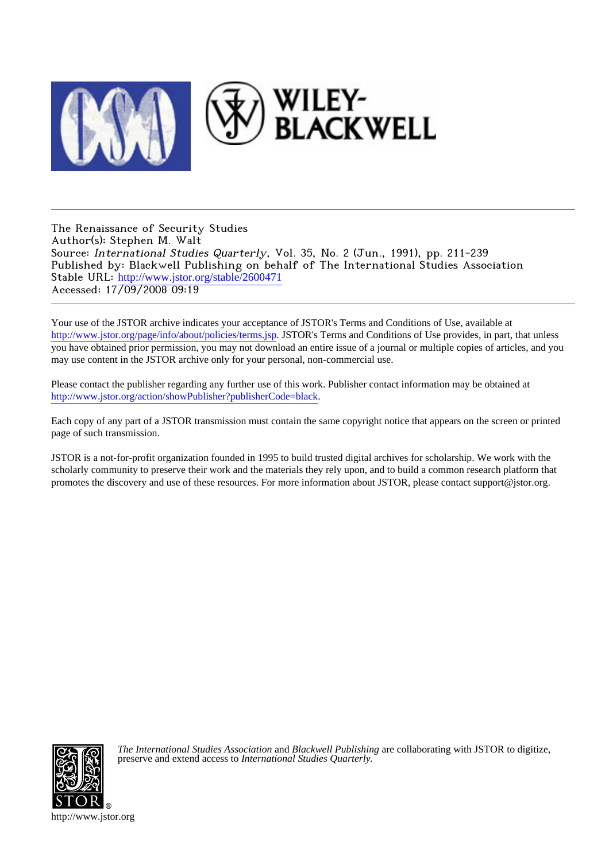

## The Renaissance of Security Studies Author(s): Stephen M. Walt Source: International Studies Quarterly, Vol. 35, No. 2 (Jun., 1991), pp. 211-239 Published by: Blackwell Publishing on behalf of The International Studies Association Stable URL: [http://www.jstor.org/stable/2600471](http://www.jstor.org/stable/2600471?origin=JSTOR-pdf) Accessed: 17/09/2008 09:19

Your use of the JSTOR archive indicates your acceptance of JSTOR's Terms and Conditions of Use, available at <http://www.jstor.org/page/info/about/policies/terms.jsp>. JSTOR's Terms and Conditions of Use provides, in part, that unless you have obtained prior permission, you may not download an entire issue of a journal or multiple copies of articles, and you may use content in the JSTOR archive only for your personal, non-commercial use.

Please contact the publisher regarding any further use of this work. Publisher contact information may be obtained at [http://www.jstor.org/action/showPublisher?publisherCode=black.](http://www.jstor.org/action/showPublisher?publisherCode=black)

Each copy of any part of a JSTOR transmission must contain the same copyright notice that appears on the screen or printed page of such transmission.

JSTOR is a not-for-profit organization founded in 1995 to build trusted digital archives for scholarship. We work with the scholarly community to preserve their work and the materials they rely upon, and to build a common research platform that promotes the discovery and use of these resources. For more information about JSTOR, please contact support@jstor.org.



*The International Studies Association* and *Blackwell Publishing* are collaborating with JSTOR to digitize, preserve and extend access to *International Studies Quarterly.*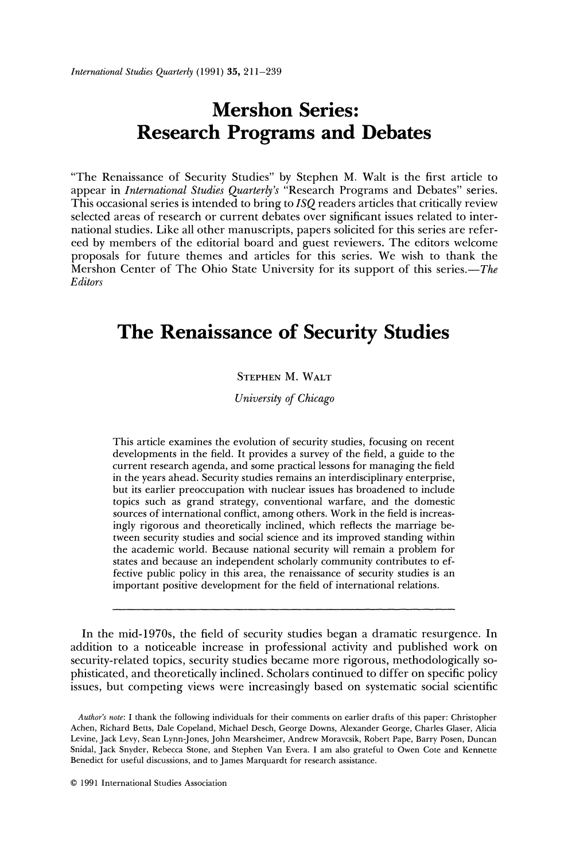# **Mershon Series: Research Programs and Debates**

"The Renaissance of Security Studies" by Stephen M. Walt is the first article to appear in International Studies Quarterly's "Research Programs and Debates" series. This occasional series is intended to bring to ISQ readers articles that critically review selected areas of research or current debates over significant issues related to international studies. Like all other manuscripts, papers solicited for this series are refereed by members of the editorial board and guest reviewers. The editors welcome proposals for future themes and articles for this series. We wish to thank the Mershon Center of The Ohio State University for its support of this series.—The Editors

## **The Renaissance of Security Studies**

## STEPHEN M. WALT

University of Chicago

This article examines the evolution of security studies, focusing on recent developments in the field. It provides a survey of the field, a guide to the current research agenda, and some practical lessons for managing the field in the years ahead. Security studies remains an interdisciplinary enterprise, but its earlier preoccupation with nuclear issues has broadened to include topics such as grand strategy, conventional warfare, and the domestic sources of international conflict, among others. Work in the field is increasingly rigorous and theoretically inclined, which reflects the marriage between security studies and social science and its improved standing within the academic world. Because national security will remain a problem for states and because an independent scholarly community contributes to effective public policy in this area, the renaissance of security studies is an important positive development for the field of international relations.

In the mid-1970s, the field of security studies began a dramatic resurgence. In addition to a noticeable increase in professional activity and published work on security-related topics, security studies became more rigorous, methodologically sophisticated, and theoretically inclined. Scholars continued to differ on specific policy issues, but competing views were increasingly based on systematic social scientific

Author's note: I thank the following individuals for their comments on earlier drafts of this paper: Christopher Achen, Richard Betts, Dale Copeland, Michael Desch, George Downs, Alexander George, Charles Glaser, Alicia Levine, Jack Levy, Sean Lynn-Jones, John Mearsheimer, Andrew Moravcsik, Robert Pape, Barry Posen, Duncan Snidal, Jack Snyder, Rebecca Stone, and Stephen Van Evera. I am also grateful to Owen Cote and Kennette Benedict for useful discussions, and to James Marquardt for research assistance.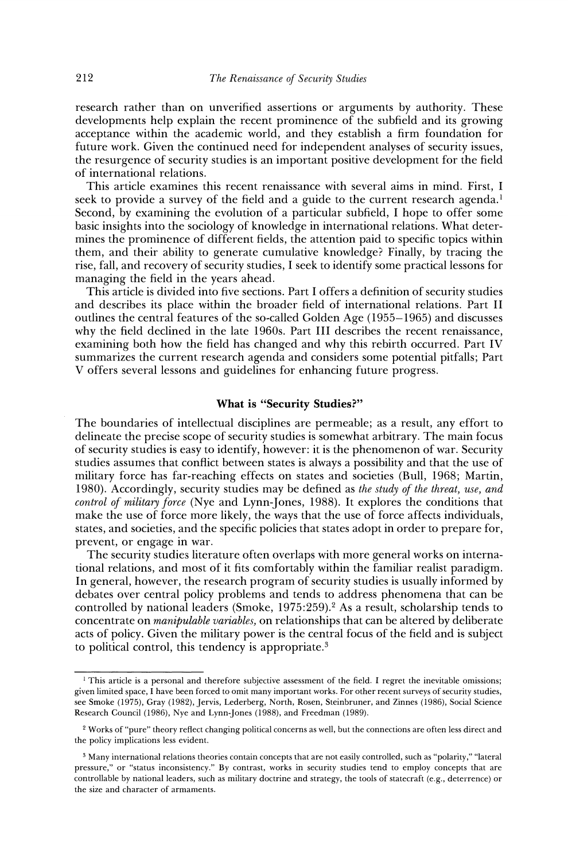research rather than on unverified assertions or arguments by authority. These developments help explain the recent prominence of the subfield and its growing acceptance within the academic world, and they establish a firm foundation for future work. Given the continued need for independent analyses of security issues, the resurgence of security studies is an important positive development for the field of international relations.

This article examines this recent renaissance with several aims in mind. First, I seek to provide a survey of the field and a guide to the current research agenda.<sup>1</sup> Second, by examining the evolution of a particular subfield, I hope to offer some basic insights into the sociology of knowledge in international relations. What determines the prominence of different fields, the attention paid to specific topics within them, and their ability to generate cumulative knowledge? Finally, by tracing the rise, fall, and recovery of security studies, I seek to identify some practical lessons for managing the field in the years ahead.

This article is divided into five sections. Part I offers a definition of security studies and describes its place within the broader field of international relations. Part II outlines the central features of the so-called Golden Age (1955–1965) and discusses why the field declined in the late 1960s. Part III describes the recent renaissance, examining both how the field has changed and why this rebirth occurred. Part IV summarizes the current research agenda and considers some potential pitfalls; Part V offers several lessons and guidelines for enhancing future progress.

#### What is "Security Studies?"

The boundaries of intellectual disciplines are permeable; as a result, any effort to delineate the precise scope of security studies is somewhat arbitrary. The main focus of security studies is easy to identify, however: it is the phenomenon of war. Security studies assumes that conflict between states is always a possibility and that the use of military force has far-reaching effects on states and societies (Bull, 1968; Martin, 1980). Accordingly, security studies may be defined as the study of the threat, use, and *control of military force* (Nye and Lynn-Jones, 1988). It explores the conditions that make the use of force more likely, the ways that the use of force affects individuals, states, and societies, and the specific policies that states adopt in order to prepare for, prevent, or engage in war.

The security studies literature often overlaps with more general works on international relations, and most of it fits comfortably within the familiar realist paradigm. In general, however, the research program of security studies is usually informed by debates over central policy problems and tends to address phenomena that can be controlled by national leaders (Smoke, 1975:259).<sup>2</sup> As a result, scholarship tends to concentrate on *manipulable variables*, on relationships that can be altered by deliberate acts of policy. Given the military power is the central focus of the field and is subject to political control, this tendency is appropriate.<sup>3</sup>

<sup>&</sup>lt;sup>1</sup> This article is a personal and therefore subjective assessment of the field. I regret the inevitable omissions; given limited space, I have been forced to omit many important works. For other recent surveys of security studies, see Smoke (1975), Gray (1982), Jervis, Lederberg, North, Rosen, Steinbruner, and Zinnes (1986), Social Science Research Council (1986), Nye and Lynn-Jones (1988), and Freedman (1989).

<sup>&</sup>lt;sup>2</sup> Works of "pure" theory reflect changing political concerns as well, but the connections are often less direct and the policy implications less evident.

<sup>&</sup>lt;sup>3</sup> Many international relations theories contain concepts that are not easily controlled, such as "polarity," "lateral pressure," or "status inconsistency." By contrast, works in security studies tend to employ concepts that are controllable by national leaders, such as military doctrine and strategy, the tools of statecraft (e.g., deterrence) or the size and character of armaments.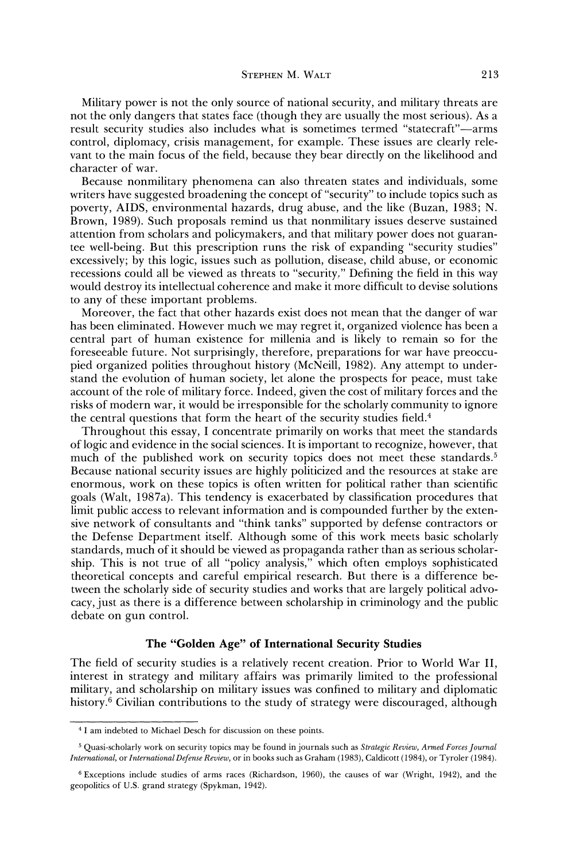Military power is not the only source of national security, and military threats are not the only dangers that states face (though they are usually the most serious). As a result security studies also includes what is sometimes termed "statecraft"—arms control, diplomacy, crisis management, for example. These issues are clearly relevant to the main focus of the field, because they bear directly on the likelihood and character of war.

Because nonmilitary phenomena can also threaten states and individuals, some writers have suggested broadening the concept of "security" to include topics such as poverty, AIDS, environmental hazards, drug abuse, and the like (Buzan, 1983; N. Brown, 1989). Such proposals remind us that nonmilitary issues deserve sustained attention from scholars and policymakers, and that military power does not guarantee well-being. But this prescription runs the risk of expanding "security studies" excessively; by this logic, issues such as pollution, disease, child abuse, or economic recessions could all be viewed as threats to "security," Defining the field in this way would destroy its intellectual coherence and make it more difficult to devise solutions to any of these important problems.

Moreover, the fact that other hazards exist does not mean that the danger of war has been eliminated. However much we may regret it, organized violence has been a central part of human existence for millenia and is likely to remain so for the fore seeable future. Not surprisingly, therefore, preparations for war have preoccupied organized polities throughout history (McNeill, 1982). Any attempt to understand the evolution of human society, let alone the prospects for peace, must take account of the role of military force. Indeed, given the cost of military forces and the risks of modern war, it would be irresponsible for the scholarly community to ignore the central questions that form the heart of the security studies field.<sup>4</sup>

Throughout this essay, I concentrate primarily on works that meet the standards of logic and evidence in the social sciences. It is important to recognize, however, that much of the published work on security topics does not meet these standards.<sup>5</sup> Because national security issues are highly politicized and the resources at stake are enormous, work on these topics is often written for political rather than scientific goals (Walt, 1987a). This tendency is exacerbated by classification procedures that limit public access to relevant information and is compounded further by the extensive network of consultants and "think tanks" supported by defense contractors or the Defense Department itself. Although some of this work meets basic scholarly standards, much of it should be viewed as propaganda rather than as serious scholarship. This is not true of all "policy analysis," which often employs sophisticated theoretical concepts and careful empirical research. But there is a difference between the scholarly side of security studies and works that are largely political advocacy, just as there is a difference between scholarship in criminology and the public debate on gun control.

#### The "Golden Age" of International Security Studies

The field of security studies is a relatively recent creation. Prior to World War II, interest in strategy and military affairs was primarily limited to the professional military, and scholarship on military issues was confined to military and diplomatic history.<sup>6</sup> Civilian contributions to the study of strategy were discouraged, although

<sup>&</sup>lt;sup>4</sup> I am indebted to Michael Desch for discussion on these points.

<sup>&</sup>lt;sup>5</sup> Quasi-scholarly work on security topics may be found in journals such as Strategic Review, Armed Forces Journal International, or International Defense Review, or in books such as Graham (1983), Caldicott (1984), or Tyroler (1984).

<sup>&</sup>lt;sup>6</sup> Exceptions include studies of arms races (Richardson, 1960), the causes of war (Wright, 1942), and the geopolitics of U.S. grand strategy (Spykman, 1942).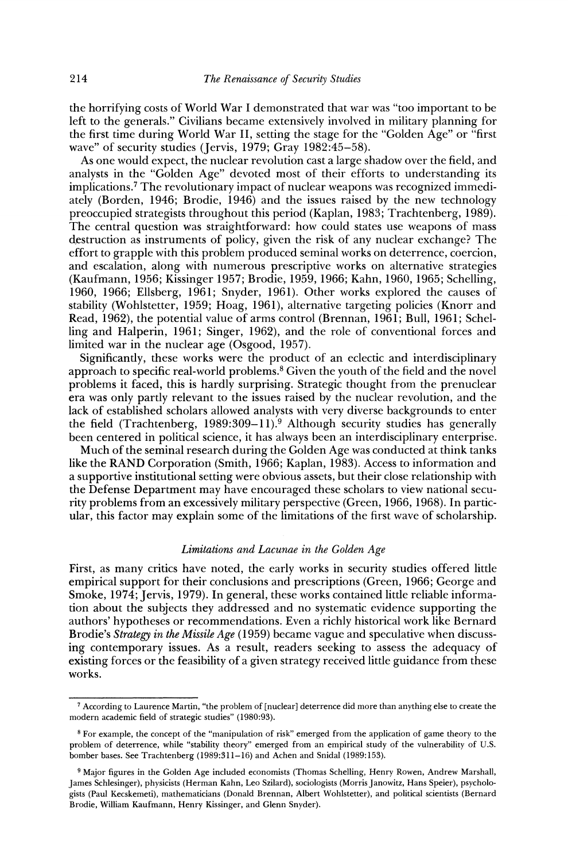the horrifying costs of World War I demonstrated that war was "too important to be left to the generals." Civilians became extensively involved in military planning for the first time during World War II, setting the stage for the "Golden Age" or "first wave" of security studies (Jervis, 1979; Gray 1982:45-58).

As one would expect, the nuclear revolution cast a large shadow over the field, and analysts in the "Golden Age" devoted most of their efforts to understanding its implications.<sup>7</sup> The revolutionary impact of nuclear weapons was recognized immediately (Borden, 1946; Brodie, 1946) and the issues raised by the new technology preoccupied strategists throughout this period (Kaplan, 1983; Trachtenberg, 1989). The central question was straightforward: how could states use weapons of mass destruction as instruments of policy, given the risk of any nuclear exchange? The effort to grapple with this problem produced seminal works on deterrence, coercion, and escalation, along with numerous prescriptive works on alternative strategies (Kaufmann, 1956; Kissinger 1957; Brodie, 1959, 1966; Kahn, 1960, 1965; Schelling, 1960, 1966; Ellsberg, 1961; Snyder, 1961). Other works explored the causes of stability (Wohlstetter, 1959; Hoag, 1961), alternative targeting policies (Knorr and Read, 1962), the potential value of arms control (Brennan, 1961; Bull, 1961; Schelling and Halperin, 1961; Singer, 1962), and the role of conventional forces and limited war in the nuclear age (Osgood, 1957).

Significantly, these works were the product of an eclectic and interdisciplinary approach to specific real-world problems.<sup>8</sup> Given the youth of the field and the novel problems it faced, this is hardly surprising. Strategic thought from the prenuclear era was only partly relevant to the issues raised by the nuclear revolution, and the lack of established scholars allowed analysts with very diverse backgrounds to enter the field (Trachtenberg,  $1989:309-11$ ).<sup>9</sup> Although security studies has generally been centered in political science, it has always been an interdisciplinary enterprise.

Much of the seminal research during the Golden Age was conducted at think tanks like the RAND Corporation (Smith, 1966; Kaplan, 1983). Access to information and a supportive institutional setting were obvious assets, but their close relationship with the Defense Department may have encouraged these scholars to view national security problems from an excessively military perspective (Green, 1966, 1968). In particular, this factor may explain some of the limitations of the first wave of scholarship.

#### Limitations and Lacunae in the Golden Age

First, as many critics have noted, the early works in security studies offered little empirical support for their conclusions and prescriptions (Green, 1966; George and Smoke, 1974; Jervis, 1979). In general, these works contained little reliable information about the subjects they addressed and no systematic evidence supporting the authors' hypotheses or recommendations. Even a richly historical work like Bernard Brodie's Strategy in the Missile Age (1959) became vague and speculative when discussing contemporary issues. As a result, readers seeking to assess the adequacy of existing forces or the feasibility of a given strategy received little guidance from these works.

<sup>7</sup> According to Laurence Martin, "the problem of [nuclear] deterrence did more than anything else to create the modern academic field of strategic studies" (1980:93).

<sup>&</sup>lt;sup>8</sup> For example, the concept of the "manipulation of risk" emerged from the application of game theory to the problem of deterrence, while "stability theory" emerged from an empirical study of the vulnerability of U.S. bomber bases. See Trachtenberg (1989:311-16) and Achen and Snidal (1989:153).

<sup>&</sup>lt;sup>9</sup> Major figures in the Golden Age included economists (Thomas Schelling, Henry Rowen, Andrew Marshall, James Schlesinger), physicists (Herman Kahn, Leo Szilard), sociologists (Morris Janowitz, Hans Speier), psychologists (Paul Kecskemeti), mathematicians (Donald Brennan, Albert Wohlstetter), and political scientists (Bernard Brodie, William Kaufmann, Henry Kissinger, and Glenn Snyder).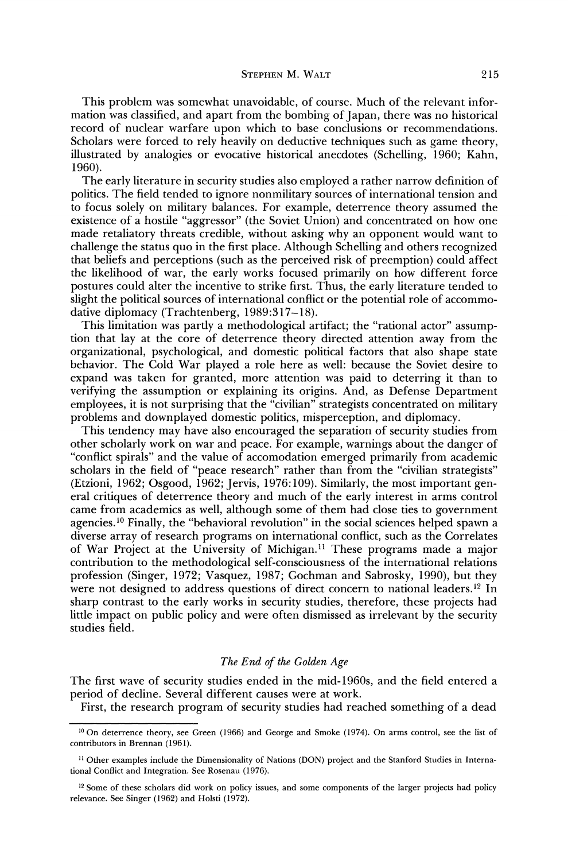This problem was somewhat unavoidable, of course. Much of the relevant information was classified, and apart from the bombing of Japan, there was no historical record of nuclear warfare upon which to base conclusions or recommendations. Scholars were forced to rely heavily on deductive techniques such as game theory, illustrated by analogies or evocative historical anecdotes (Schelling, 1960; Kahn, 1960).

The early literature in security studies also employed a rather narrow definition of politics. The field tended to ignore nonmilitary sources of international tension and to focus solely on military balances. For example, deterrence theory assumed the existence of a hostile "aggressor" (the Soviet Union) and concentrated on how one made retaliatory threats credible, without asking why an opponent would want to challenge the status quo in the first place. Although Schelling and others recognized that beliefs and perceptions (such as the perceived risk of preemption) could affect the likelihood of war, the early works focused primarily on how different force postures could alter the incentive to strike first. Thus, the early literature tended to slight the political sources of international conflict or the potential role of accommodative diplomacy (Trachtenberg, 1989:317-18).

This limitation was partly a methodological artifact; the "rational actor" assumption that lay at the core of deterrence theory directed attention away from the organizational, psychological, and domestic political factors that also shape state behavior. The Cold War played a role here as well: because the Soviet desire to expand was taken for granted, more attention was paid to deterring it than to verifying the assumption or explaining its origins. And, as Defense Department employees, it is not surprising that the "civilian" strategists concentrated on military problems and downplayed domestic politics, misperception, and diplomacy.

This tendency may have also encouraged the separation of security studies from other scholarly work on war and peace. For example, warnings about the danger of "conflict spirals" and the value of accomodation emerged primarily from academic scholars in the field of "peace research" rather than from the "civilian strategists" (Etzioni, 1962; Osgood, 1962; Jervis, 1976:109). Similarly, the most important general critiques of deterrence theory and much of the early interest in arms control came from academics as well, although some of them had close ties to government agencies.<sup>10</sup> Finally, the "behavioral revolution" in the social sciences helped spawn a diverse array of research programs on international conflict, such as the Correlates of War Project at the University of Michigan.<sup>11</sup> These programs made a major contribution to the methodological self-consciousness of the international relations profession (Singer, 1972; Vasquez, 1987; Gochman and Sabrosky, 1990), but they were not designed to address questions of direct concern to national leaders.<sup>12</sup> In sharp contrast to the early works in security studies, therefore, these projects had little impact on public policy and were often dismissed as irrelevant by the security studies field.

#### The End of the Golden Age

The first wave of security studies ended in the mid-1960s, and the field entered a period of decline. Several different causes were at work.

First, the research program of security studies had reached something of a dead

 $10$  On deterrence theory, see Green (1966) and George and Smoke (1974). On arms control, see the list of contributors in Brennan (1961).

<sup>&</sup>lt;sup>11</sup> Other examples include the Dimensionality of Nations (DON) project and the Stanford Studies in International Conflict and Integration. See Rosenau (1976).

<sup>&</sup>lt;sup>12</sup> Some of these scholars did work on policy issues, and some components of the larger projects had policy relevance. See Singer (1962) and Holsti (1972).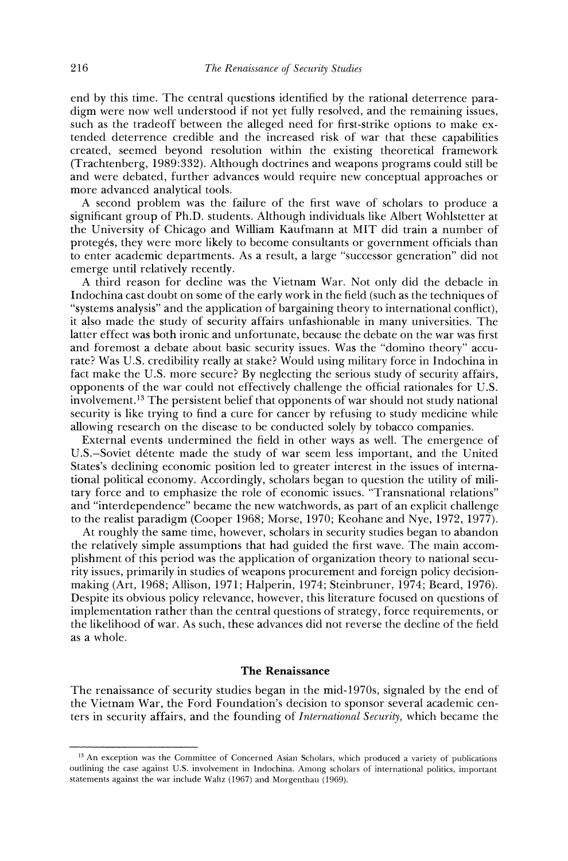end by this time. The central questions identified by the rational deterrence paradigm were now well understood if not yet fully resolved, and the remaining issues, such as the tradeoff between the alleged need for first-strike options to make extended deterrence credible and the increased risk of war that these capabilities created, seemed beyond resolution within the existing theoretical framework (Trachtenberg, 1989:332). Although doctrines and weapons programs could still be and were debated, further advances would require new conceptual approaches or more advanced analytical tools.

A second problem was the failure of the first wave of scholars to produce a significant group of Ph.D. students. Although individuals like Albert Wohlstetter at the University of Chicago and William Kaufmann at MIT did train a number of protegés, they were more likely to become consultants or government officials than to enter academic departments. As a result, a large "successor generation" did not emerge until relatively recently.

A third reason for decline was the Vietnam War. Not only did the debacle in Indochina cast doubt on some of the early work in the field (such as the techniques of "systems analysis" and the application of bargaining theory to international conflict), it also made the study of security affairs unfashionable in many universities. The latter effect was both ironic and unfortunate, because the debate on the war was first and foremost a debate about basic security issues. Was the "domino theory" accurate? Was U.S. credibility really at stake? Would using military force in Indochina in fact make the U.S. more secure? By neglecting the serious study of security affairs, opponents of the war could not effectively challenge the official rationales for U.S. involvement.<sup>13</sup> The persistent belief that opponents of war should not study national security is like trying to find a cure for cancer by refusing to study medicine while allowing research on the disease to be conducted solely by tobacco companies.

External events undermined the field in other ways as well. The emergence of U.S.-Soviet détente made the study of war seem less important, and the United States's declining economic position led to greater interest in the issues of international political economy. Accordingly, scholars began to question the utility of military force and to emphasize the role of economic issues. "Transnational relations" and "interdependence" became the new watchwords, as part of an explicit challenge to the realist paradigm (Cooper 1968; Morse, 1970; Keohane and Nye, 1972, 1977).

At roughly the same time, however, scholars in security studies began to abandon the relatively simple assumptions that had guided the first wave. The main accomplishment of this period was the application of organization theory to national security issues, primarily in studies of weapons procurement and foreign policy decisionmaking (Art, 1968; Allison, 1971; Halperin, 1974; Steinbruner, 1974; Beard, 1976). Despite its obvious policy relevance, however, this literature focused on questions of implementation rather than the central questions of strategy, force requirements, or the likelihood of war. As such, these advances did not reverse the decline of the field as a whole.

## The Renaissance

The renaissance of security studies began in the mid-1970s, signaled by the end of the Vietnam War, the Ford Foundation's decision to sponsor several academic centers in security affairs, and the founding of International Security, which became the

<sup>&</sup>lt;sup>13</sup> An exception was the Committee of Concerned Asian Scholars, which produced a variety of publications outlining the case against U.S. involvement in Indochina. Among scholars of international politics, important statements against the war include Waltz (1967) and Morgenthau (1969).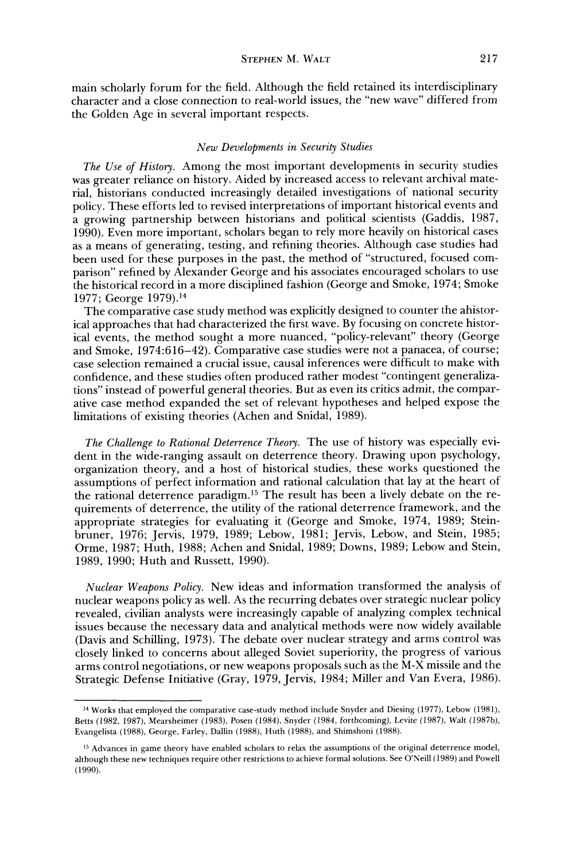main scholarly forum for the field. Although the field retained its interdisciplinary character and a close connection to real-world issues, the "new wave" differed from the Golden Age in several important respects.

#### **New Developments in Security Studies**

The Use of History. Among the most important developments in security studies was greater reliance on history. Aided by increased access to relevant archival material, historians conducted increasingly detailed investigations of national security policy. These efforts led to revised interpretations of important historical events and a growing partnership between historians and political scientists (Gaddis, 1987, 1990). Even more important, scholars began to rely more heavily on historical cases as a means of generating, testing, and refining theories. Although case studies had been used for these purposes in the past, the method of "structured, focused comparison" refined by Alexander George and his associates encouraged scholars to use the historical record in a more disciplined fashion (George and Smoke, 1974; Smoke 1977; George 1979).<sup>14</sup>

The comparative case study method was explicitly designed to counter the ahistorical approaches that had characterized the first wave. By focusing on concrete historical events, the method sought a more nuanced, "policy-relevant" theory (George and Smoke, 1974:616-42). Comparative case studies were not a panacea, of course; case selection remained a crucial issue, causal inferences were difficult to make with confidence, and these studies often produced rather modest "contingent generalizations" instead of powerful general theories. But as even its critics admit, the comparative case method expanded the set of relevant hypotheses and helped expose the limitations of existing theories (Achen and Snidal, 1989).

The Challenge to Rational Deterrence Theory. The use of history was especially evident in the wide-ranging assault on deterrence theory. Drawing upon psychology, organization theory, and a host of historical studies, these works questioned the assumptions of perfect information and rational calculation that lay at the heart of the rational deterrence paradigm.<sup>15</sup> The result has been a lively debate on the requirements of deterrence, the utility of the rational deterrence framework, and the appropriate strategies for evaluating it (George and Smoke, 1974, 1989; Steinbruner, 1976; Jervis, 1979, 1989; Lebow, 1981; Jervis, Lebow, and Stein, 1985; Orme, 1987; Huth, 1988; Achen and Snidal, 1989; Downs, 1989; Lebow and Stein, 1989, 1990; Huth and Russett, 1990).

Nuclear Weapons Policy. New ideas and information transformed the analysis of nuclear weapons policy as well. As the recurring debates over strategic nuclear policy revealed, civilian analysts were increasingly capable of analyzing complex technical issues because the necessary data and analytical methods were now widely available (Davis and Schilling, 1973). The debate over nuclear strategy and arms control was closely linked to concerns about alleged Soviet superiority, the progress of various arms control negotiations, or new weapons proposals such as the M-X missile and the Strategic Defense Initiative (Gray, 1979, Jervis, 1984; Miller and Van Evera, 1986).

<sup>&</sup>lt;sup>14</sup> Works that employed the comparative case-study method include Snyder and Diesing (1977), Lebow (1981), Betts (1982, 1987), Mearsheimer (1983), Posen (1984), Snyder (1984, forthcoming), Levite (1987), Walt (1987b), Evangelista (1988), George, Farley, Dallin (1988), Huth (1988), and Shimshoni (1988).

<sup>&</sup>lt;sup>15</sup> Advances in game theory have enabled scholars to relax the assumptions of the original deterrence model, although these new techniques require other restrictions to achieve formal solutions. See O'Neill (1989) and Powell  $(1990).$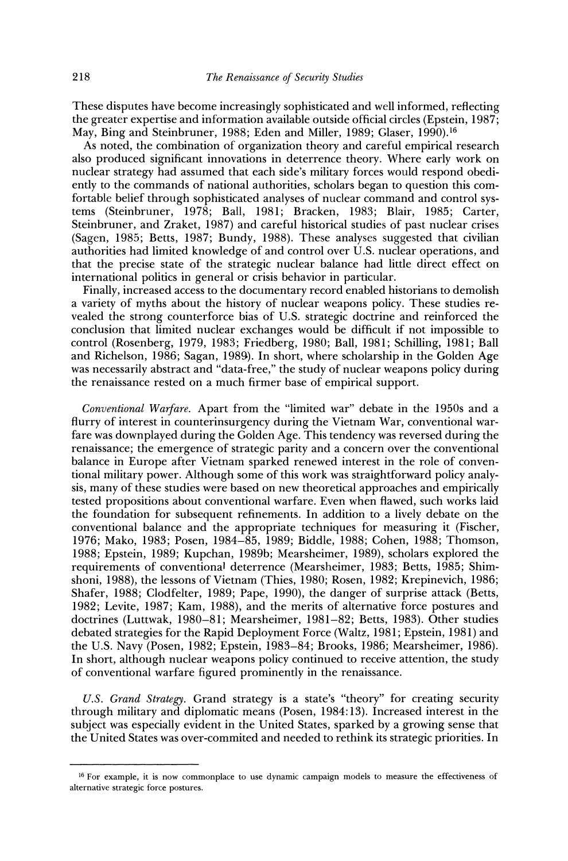These disputes have become increasingly sophisticated and well informed, reflecting the greater expertise and information available outside official circles (Epstein, 1987; May, Bing and Steinbruner, 1988; Eden and Miller, 1989; Glaser, 1990).<sup>16</sup>

As noted, the combination of organization theory and careful empirical research also produced significant innovations in deterrence theory. Where early work on nuclear strategy had assumed that each side's military forces would respond obediently to the commands of national authorities, scholars began to question this comfortable belief through sophisticated analyses of nuclear command and control systems (Steinbruner, 1978; Ball, 1981; Bracken, 1983; Blair, 1985; Carter, Steinbruner, and Zraket, 1987) and careful historical studies of past nuclear crises (Sagen, 1985; Betts, 1987; Bundy, 1988). These analyses suggested that civilian authorities had limited knowledge of and control over U.S. nuclear operations, and that the precise state of the strategic nuclear balance had little direct effect on international politics in general or crisis behavior in particular.

Finally, increased access to the documentary record enabled historians to demolish a variety of myths about the history of nuclear weapons policy. These studies revealed the strong counterforce bias of U.S. strategic doctrine and reinforced the conclusion that limited nuclear exchanges would be difficult if not impossible to control (Rosenberg, 1979, 1983; Friedberg, 1980; Ball, 1981; Schilling, 1981; Ball and Richelson, 1986; Sagan, 1989). In short, where scholarship in the Golden Age was necessarily abstract and "data-free," the study of nuclear weapons policy during the renaissance rested on a much firmer base of empirical support.

Conventional Warfare. Apart from the "limited war" debate in the 1950s and a flurry of interest in counterinsurgency during the Vietnam War, conventional warfare was downplayed during the Golden Age. This tendency was reversed during the renaissance; the emergence of strategic parity and a concern over the conventional balance in Europe after Vietnam sparked renewed interest in the role of conventional military power. Although some of this work was straightforward policy analysis, many of these studies were based on new theoretical approaches and empirically tested propositions about conventional warfare. Even when flawed, such works laid the foundation for subsequent refinements. In addition to a lively debate on the conventional balance and the appropriate techniques for measuring it (Fischer, 1976; Mako, 1983; Posen, 1984-85, 1989; Biddle, 1988; Cohen, 1988; Thomson, 1988; Epstein, 1989; Kupchan, 1989b; Mearsheimer, 1989), scholars explored the requirements of conventional deterrence (Mearsheimer, 1983; Betts, 1985; Shimshoni, 1988), the lessons of Vietnam (Thies, 1980; Rosen, 1982; Krepinevich, 1986; Shafer, 1988; Clodfelter, 1989; Pape, 1990), the danger of surprise attack (Betts, 1982; Levite, 1987; Kam, 1988), and the merits of alternative force postures and doctrines (Luttwak, 1980-81; Mearsheimer, 1981-82; Betts, 1983). Other studies debated strategies for the Rapid Deployment Force (Waltz, 1981; Epstein, 1981) and the U.S. Navy (Posen, 1982; Epstein, 1983–84; Brooks, 1986; Mearsheimer, 1986). In short, although nuclear weapons policy continued to receive attention, the study of conventional warfare figured prominently in the renaissance.

U.S. Grand Strategy. Grand strategy is a state's "theory" for creating security through military and diplomatic means (Posen, 1984:13). Increased interest in the subject was especially evident in the United States, sparked by a growing sense that the United States was over-commited and needed to rethink its strategic priorities. In

<sup>&</sup>lt;sup>16</sup> For example, it is now commonplace to use dynamic campaign models to measure the effectiveness of alternative strategic force postures.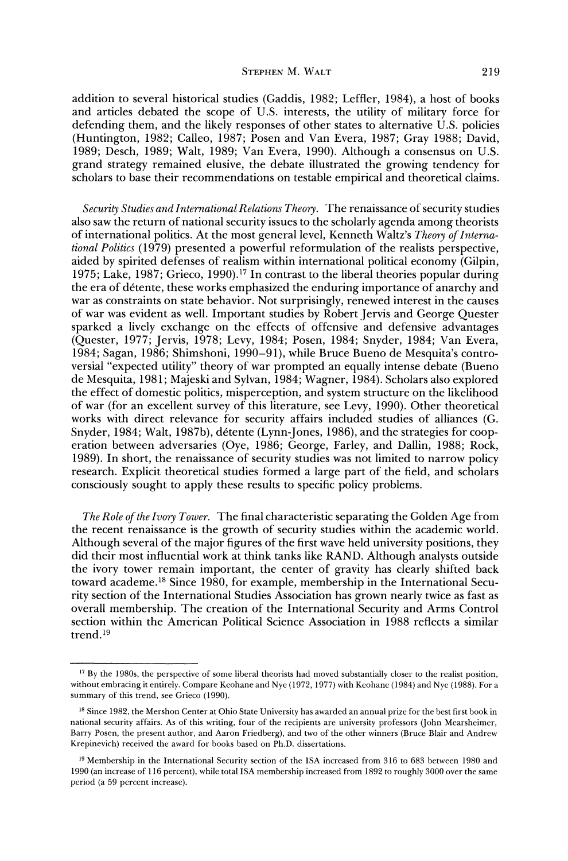#### STEPHEN M. WALT

addition to several historical studies (Gaddis, 1982; Leffler, 1984), a host of books and articles debated the scope of U.S. interests, the utility of military force for defending them, and the likely responses of other states to alternative U.S. policies (Huntington, 1982; Calleo, 1987; Posen and Van Evera, 1987; Gray 1988; David, 1989; Desch, 1989; Walt, 1989; Van Evera, 1990). Although a consensus on U.S. grand strategy remained elusive, the debate illustrated the growing tendency for scholars to base their recommendations on testable empirical and theoretical claims.

Security Studies and International Relations Theory. The renaissance of security studies also saw the return of national security issues to the scholarly agenda among theorists of international politics. At the most general level, Kenneth Waltz's Theory of Interna*tional Politics* (1979) presented a powerful reformulation of the realists perspective, aided by spirited defenses of realism within international political economy (Gilpin, 1975; Lake, 1987; Grieco, 1990).<sup>17</sup> In contrast to the liberal theories popular during the era of détente, these works emphasized the enduring importance of anarchy and war as constraints on state behavior. Not surprisingly, renewed interest in the causes of war was evident as well. Important studies by Robert Jervis and George Quester sparked a lively exchange on the effects of offensive and defensive advantages (Quester, 1977; Jervis, 1978; Levy, 1984; Posen, 1984; Snyder, 1984; Van Evera, 1984; Sagan, 1986; Shimshoni, 1990–91), while Bruce Bueno de Mesquita's controversial "expected utility" theory of war prompted an equally intense debate (Bueno de Mesquita, 1981; Majeski and Sylvan, 1984; Wagner, 1984). Scholars also explored the effect of domestic politics, misperception, and system structure on the likelihood of war (for an excellent survey of this literature, see Levy, 1990). Other theoretical works with direct relevance for security affairs included studies of alliances (G. Snyder, 1984; Walt, 1987b), détente (Lynn-Jones, 1986), and the strategies for cooperation between adversaries (Oye, 1986; George, Farley, and Dallin, 1988; Rock, 1989). In short, the renaissance of security studies was not limited to narrow policy research. Explicit theoretical studies formed a large part of the field, and scholars consciously sought to apply these results to specific policy problems.

The Role of the Ivory Tower. The final characteristic separating the Golden Age from the recent renaissance is the growth of security studies within the academic world. Although several of the major figures of the first wave held university positions, they did their most influential work at think tanks like RAND. Although analysts outside the ivory tower remain important, the center of gravity has clearly shifted back toward academe.<sup>18</sup> Since 1980, for example, membership in the International Security section of the International Studies Association has grown nearly twice as fast as overall membership. The creation of the International Security and Arms Control section within the American Political Science Association in 1988 reflects a similar trend.<sup>19</sup>

<sup>&</sup>lt;sup>17</sup> By the 1980s, the perspective of some liberal theorists had moved substantially closer to the realist position, without embracing it entirely. Compare Keohane and Nye (1972, 1977) with Keohane (1984) and Nye (1988). For a summary of this trend, see Grieco (1990).

<sup>&</sup>lt;sup>18</sup> Since 1982, the Mershon Center at Ohio State University has awarded an annual prize for the best first book in national security affairs. As of this writing, four of the recipients are university professors (John Mearsheimer, Barry Posen, the present author, and Aaron Friedberg), and two of the other winners (Bruce Blair and Andrew Krepinevich) received the award for books based on Ph.D. dissertations.

<sup>&</sup>lt;sup>19</sup> Membership in the International Security section of the ISA increased from 316 to 683 between 1980 and 1990 (an increase of 116 percent), while total ISA membership increased from 1892 to roughly 3000 over the same period (a 59 percent increase).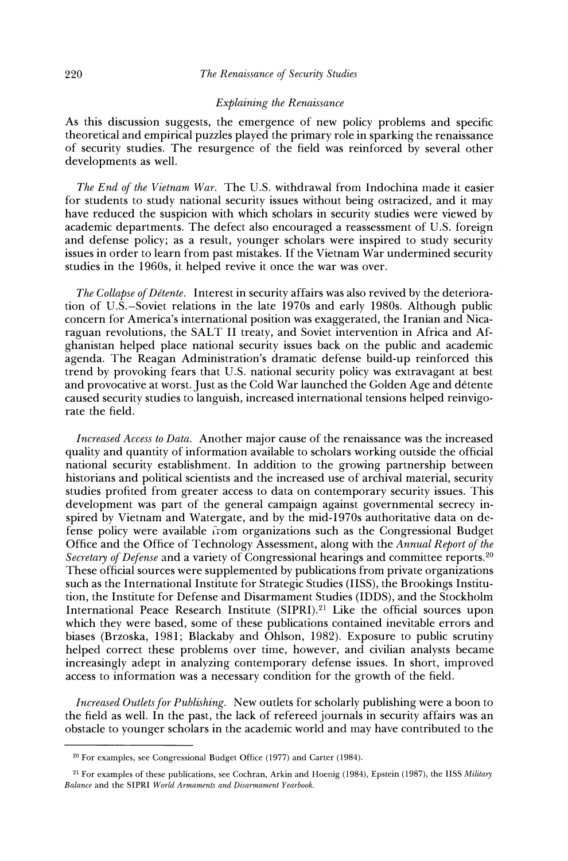#### **Explaining the Renaissance**

As this discussion suggests, the emergence of new policy problems and specific theoretical and empirical puzzles played the primary role in sparking the renaissance of security studies. The resurgence of the field was reinforced by several other developments as well.

The End of the Vietnam War. The U.S. withdrawal from Indochina made it easier for students to study national security issues without being ostracized, and it may have reduced the suspicion with which scholars in security studies were viewed by academic departments. The defect also encouraged a reassessment of U.S. foreign and defense policy; as a result, younger scholars were inspired to study security issues in order to learn from past mistakes. If the Vietnam War undermined security studies in the 1960s, it helped revive it once the war was over.

The Collapse of Détente. Interest in security affairs was also revived by the deterioration of U.S.-Soviet relations in the late 1970s and early 1980s. Although public concern for America's international position was exaggerated, the Iranian and Nicaraguan revolutions, the SALT II treaty, and Soviet intervention in Africa and Afghanistan helped place national security issues back on the public and academic agenda. The Reagan Administration's dramatic defense build-up reinforced this trend by provoking fears that U.S. national security policy was extravagant at best and provocative at worst. Just as the Cold War launched the Golden Age and détente caused security studies to languish, increased international tensions helped reinvigorate the field.

*Increased Access to Data.* Another major cause of the renaissance was the increased quality and quantity of information available to scholars working outside the official national security establishment. In addition to the growing partnership between historians and political scientists and the increased use of archival material, security studies profited from greater access to data on contemporary security issues. This development was part of the general campaign against governmental secrecy inspired by Vietnam and Watergate, and by the mid-1970s authoritative data on defense policy were available from organizations such as the Congressional Budget Office and the Office of Technology Assessment, along with the Annual Report of the *Secretary of Defense* and a variety of Congressional hearings and committee reports.<sup>20</sup> These official sources were supplemented by publications from private organizations such as the International Institute for Strategic Studies (IISS), the Brookings Institution, the Institute for Defense and Disarmament Studies (IDDS), and the Stockholm International Peace Research Institute (SIPRI).<sup>21</sup> Like the official sources upon which they were based, some of these publications contained inevitable errors and biases (Brzoska, 1981; Blackaby and Ohlson, 1982). Exposure to public scrutiny helped correct these problems over time, however, and civilian analysts became increasingly adept in analyzing contemporary defense issues. In short, improved access to information was a necessary condition for the growth of the field.

*Increased Outlets for Publishing.* New outlets for scholarly publishing were a boon to the field as well. In the past, the lack of refereed journals in security affairs was an obstacle to younger scholars in the academic world and may have contributed to the

<sup>&</sup>lt;sup>20</sup> For examples, see Congressional Budget Office (1977) and Carter (1984).

<sup>&</sup>lt;sup>21</sup> For examples of these publications, see Cochran, Arkin and Hoenig (1984), Epstein (1987), the IISS Military Balance and the SIPRI World Armaments and Disarmament Yearbook.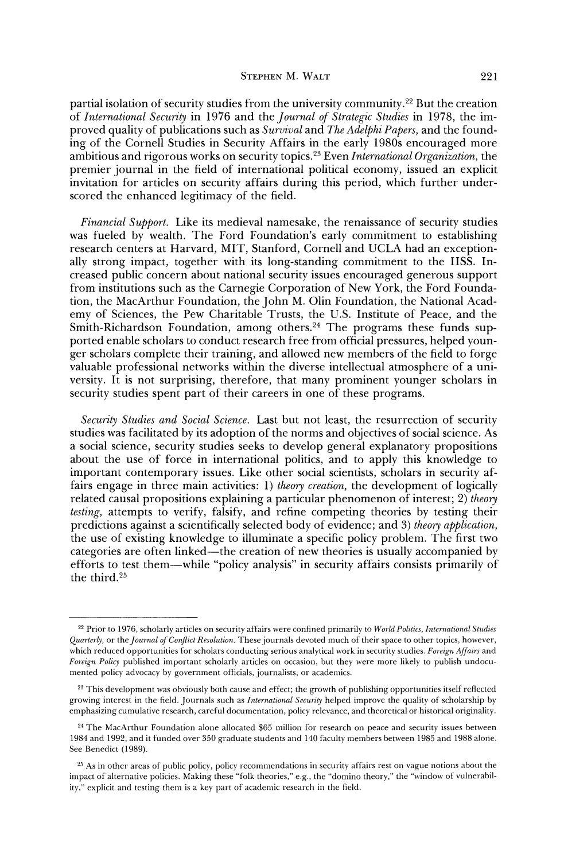#### STEPHEN M. WALT

partial isolation of security studies from the university community.<sup>22</sup> But the creation of International Security in 1976 and the Journal of Strategic Studies in 1978, the improved quality of publications such as Survival and The Adelphi Papers, and the founding of the Cornell Studies in Security Affairs in the early 1980s encouraged more ambitious and rigorous works on security topics.<sup>23</sup> Even *International Organization*, the premier journal in the field of international political economy, issued an explicit invitation for articles on security affairs during this period, which further underscored the enhanced legitimacy of the field.

Financial Support. Like its medieval namesake, the renaissance of security studies was fueled by wealth. The Ford Foundation's early commitment to establishing research centers at Harvard, MIT, Stanford, Cornell and UCLA had an exceptionally strong impact, together with its long-standing commitment to the IISS. Increased public concern about national security issues encouraged generous support from institutions such as the Carnegie Corporation of New York, the Ford Foundation, the MacArthur Foundation, the John M. Olin Foundation, the National Academy of Sciences, the Pew Charitable Trusts, the U.S. Institute of Peace, and the Smith-Richardson Foundation, among others.<sup>24</sup> The programs these funds supported enable scholars to conduct research free from official pressures, helped younger scholars complete their training, and allowed new members of the field to forge valuable professional networks within the diverse intellectual atmosphere of a university. It is not surprising, therefore, that many prominent younger scholars in security studies spent part of their careers in one of these programs.

Security Studies and Social Science. Last but not least, the resurrection of security studies was facilitated by its adoption of the norms and objectives of social science. As a social science, security studies seeks to develop general explanatory propositions about the use of force in international politics, and to apply this knowledge to important contemporary issues. Like other social scientists, scholars in security affairs engage in three main activities: 1) theory creation, the development of logically related causal propositions explaining a particular phenomenon of interest; 2) theory testing, attempts to verify, falsify, and refine competing theories by testing their predictions against a scientifically selected body of evidence; and 3) theory application, the use of existing knowledge to illuminate a specific policy problem. The first two categories are often linked—the creation of new theories is usually accompanied by efforts to test them—while "policy analysis" in security affairs consists primarily of the third.<sup>25</sup>

<sup>&</sup>lt;sup>22</sup> Prior to 1976, scholarly articles on security affairs were confined primarily to World Politics, International Studies Quarterly, or the Journal of Conflict Resolution. These journals devoted much of their space to other topics, however, which reduced opportunities for scholars conducting serious analytical work in security studies. Foreign Affairs and Foreign Policy published important scholarly articles on occasion, but they were more likely to publish undocumented policy advocacy by government officials, journalists, or academics.

<sup>&</sup>lt;sup>23</sup> This development was obviously both cause and effect; the growth of publishing opportunities itself reflected growing interest in the field. Journals such as *International Security* helped improve the quality of scholarship by emphasizing cumulative research, careful documentation, policy relevance, and theoretical or historical originality.

<sup>&</sup>lt;sup>24</sup> The MacArthur Foundation alone allocated \$65 million for research on peace and security issues between 1984 and 1992, and it funded over 350 graduate students and 140 faculty members between 1985 and 1988 alone. See Benedict (1989).

<sup>&</sup>lt;sup>25</sup> As in other areas of public policy, policy recommendations in security affairs rest on vague notions about the impact of alternative policies. Making these "folk theories," e.g., the "domino theory," the "window of vulnerability," explicit and testing them is a key part of academic research in the field.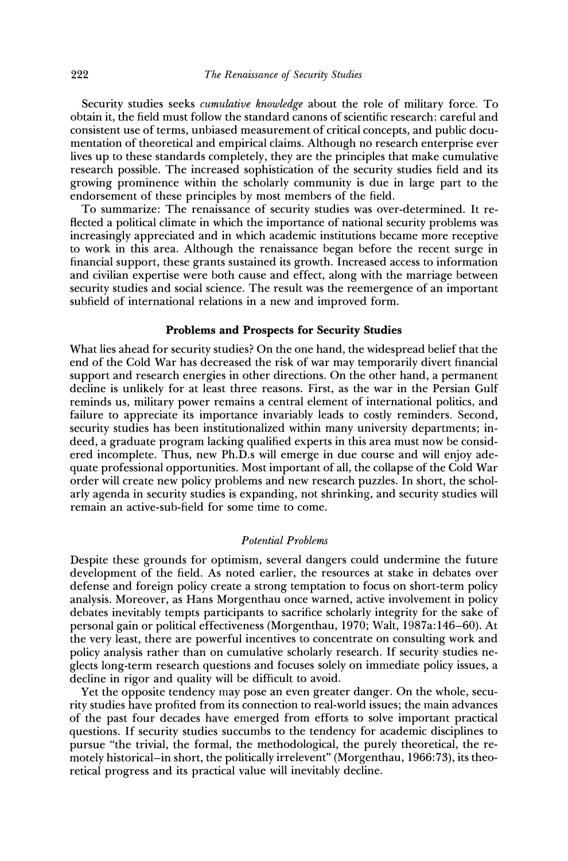Security studies seeks *cumulative knowledge* about the role of military force. To obtain it, the field must follow the standard canons of scientific research: careful and consistent use of terms, unbiased measurement of critical concepts, and public documentation of theoretical and empirical claims. Although no research enterprise ever lives up to these standards completely, they are the principles that make cumulative research possible. The increased sophistication of the security studies field and its growing prominence within the scholarly community is due in large part to the endorsement of these principles by most members of the field.

To summarize: The renaissance of security studies was over-determined. It reflected a political climate in which the importance of national security problems was increasingly appreciated and in which academic institutions became more receptive to work in this area. Although the renaissance began before the recent surge in financial support, these grants sustained its growth. Increased access to information and civilian expertise were both cause and effect, along with the marriage between security studies and social science. The result was the reemergence of an important subfield of international relations in a new and improved form.

## **Problems and Prospects for Security Studies**

What lies ahead for security studies? On the one hand, the widespread belief that the end of the Cold War has decreased the risk of war may temporarily divert financial support and research energies in other directions. On the other hand, a permanent decline is unlikely for at least three reasons. First, as the war in the Persian Gulf reminds us, military power remains a central element of international politics, and failure to appreciate its importance invariably leads to costly reminders. Second, security studies has been institutionalized within many university departments; indeed, a graduate program lacking qualified experts in this area must now be considered incomplete. Thus, new Ph.D.s will emerge in due course and will enjoy adequate professional opportunities. Most important of all, the collapse of the Cold War order will create new policy problems and new research puzzles. In short, the scholarly agenda in security studies is expanding, not shrinking, and security studies will remain an active-sub-field for some time to come.

## **Potential Problems**

Despite these grounds for optimism, several dangers could undermine the future development of the field. As noted earlier, the resources at stake in debates over defense and foreign policy create a strong temptation to focus on short-term policy analysis. Moreover, as Hans Morgenthau once warned, active involvement in policy debates inevitably tempts participants to sacrifice scholarly integrity for the sake of personal gain or political effectiveness (Morgenthau, 1970; Walt, 1987a:146–60). At the very least, there are powerful incentives to concentrate on consulting work and policy analysis rather than on cumulative scholarly research. If security studies neglects long-term research questions and focuses solely on immediate policy issues, a decline in rigor and quality will be difficult to avoid.

Yet the opposite tendency may pose an even greater danger. On the whole, security studies have profited from its connection to real-world issues; the main advances of the past four decades have emerged from efforts to solve important practical questions. If security studies succumbs to the tendency for academic disciplines to pursue "the trivial, the formal, the methodological, the purely theoretical, the remotely historical–in short, the politically irrelevent" (Morgenthau, 1966:73), its theoretical progress and its practical value will inevitably decline.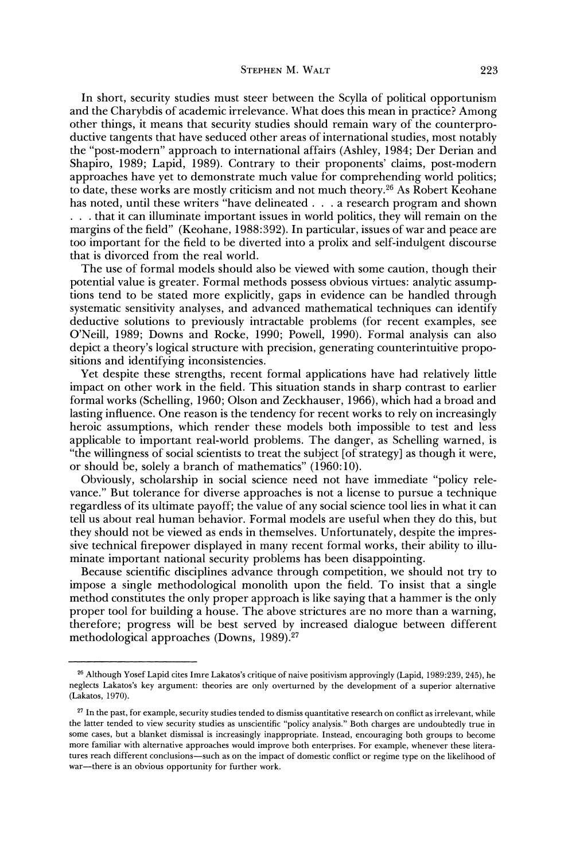In short, security studies must steer between the Scylla of political opportunism and the Charybdis of academic irrelevance. What does this mean in practice? Among other things, it means that security studies should remain wary of the counterproductive tangents that have seduced other areas of international studies, most notably the "post-modern" approach to international affairs (Ashley, 1984; Der Derian and Shapiro, 1989; Lapid, 1989). Contrary to their proponents' claims, post-modern approaches have yet to demonstrate much value for comprehending world politics; to date, these works are mostly criticism and not much theory.<sup>26</sup> As Robert Keohane has noted, until these writers "have delineated . . . a research program and shown ... that it can illuminate important issues in world politics, they will remain on the margins of the field" (Keohane, 1988:392). In particular, issues of war and peace are too important for the field to be diverted into a prolix and self-indulgent discourse that is divorced from the real world.

The use of formal models should also be viewed with some caution, though their potential value is greater. Formal methods possess obvious virtues: analytic assumptions tend to be stated more explicitly, gaps in evidence can be handled through systematic sensitivity analyses, and advanced mathematical techniques can identify deductive solutions to previously intractable problems (for recent examples, see O'Neill, 1989; Downs and Rocke, 1990; Powell, 1990). Formal analysis can also depict a theory's logical structure with precision, generating counterintuitive propositions and identifying inconsistencies.

Yet despite these strengths, recent formal applications have had relatively little impact on other work in the field. This situation stands in sharp contrast to earlier formal works (Schelling, 1960; Olson and Zeckhauser, 1966), which had a broad and lasting influence. One reason is the tendency for recent works to rely on increasingly heroic assumptions, which render these models both impossible to test and less applicable to important real-world problems. The danger, as Schelling warned, is "the willingness of social scientists to treat the subject [of strategy] as though it were, or should be, solely a branch of mathematics" (1960:10).

Obviously, scholarship in social science need not have immediate "policy relevance." But tolerance for diverse approaches is not a license to pursue a technique regardless of its ultimate payoff; the value of any social science tool lies in what it can tell us about real human behavior. Formal models are useful when they do this, but they should not be viewed as ends in themselves. Unfortunately, despite the impressive technical firepower displayed in many recent formal works, their ability to illuminate important national security problems has been disappointing.

Because scientific disciplines advance through competition, we should not try to impose a single methodological monolith upon the field. To insist that a single method constitutes the only proper approach is like saying that a hammer is the only proper tool for building a house. The above strictures are no more than a warning, therefore; progress will be best served by increased dialogue between different methodological approaches (Downs, 1989).<sup>27</sup>

<sup>&</sup>lt;sup>26</sup> Although Yosef Lapid cites Imre Lakatos's critique of naive positivism approvingly (Lapid, 1989:239, 245), he neglects Lakatos's key argument: theories are only overturned by the development of a superior alternative (Lakatos, 1970).

<sup>&</sup>lt;sup>27</sup> In the past, for example, security studies tended to dismiss quantitative research on conflict as irrelevant, while the latter tended to view security studies as unscientific "policy analysis." Both charges are undoubtedly true in some cases, but a blanket dismissal is increasingly inappropriate. Instead, encouraging both groups to become more familiar with alternative approaches would improve both enterprises. For example, whenever these literatures reach different conclusions-such as on the impact of domestic conflict or regime type on the likelihood of war-there is an obvious opportunity for further work.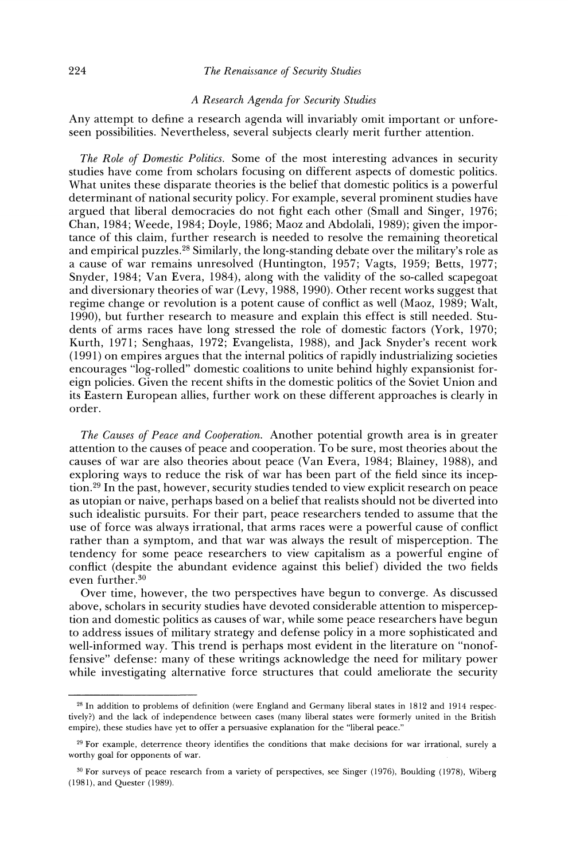#### A Research Agenda for Security Studies

Any attempt to define a research agenda will invariably omit important or unforeseen possibilities. Nevertheless, several subjects clearly merit further attention.

The Role of Domestic Politics. Some of the most interesting advances in security studies have come from scholars focusing on different aspects of domestic politics. What unites these disparate theories is the belief that domestic politics is a powerful determinant of national security policy. For example, several prominent studies have argued that liberal democracies do not fight each other (Small and Singer, 1976; Chan, 1984; Weede, 1984; Doyle, 1986; Maoz and Abdolali, 1989); given the importance of this claim, further research is needed to resolve the remaining theoretical and empirical puzzles.<sup>28</sup> Similarly, the long-standing debate over the military's role as a cause of war remains unresolved (Huntington, 1957; Vagts, 1959; Betts, 1977; Snyder, 1984; Van Evera, 1984), along with the validity of the so-called scapegoat and diversionary theories of war (Levy, 1988, 1990). Other recent works suggest that regime change or revolution is a potent cause of conflict as well (Maoz, 1989; Walt, 1990), but further research to measure and explain this effect is still needed. Students of arms races have long stressed the role of domestic factors (York, 1970; Kurth, 1971; Senghaas, 1972; Evangelista, 1988), and Jack Snyder's recent work (1991) on empires argues that the internal politics of rapidly industrializing societies encourages "log-rolled" domestic coalitions to unite behind highly expansionist foreign policies. Given the recent shifts in the domestic politics of the Soviet Union and its Eastern European allies, further work on these different approaches is clearly in order.

The Causes of Peace and Cooperation. Another potential growth area is in greater attention to the causes of peace and cooperation. To be sure, most theories about the causes of war are also theories about peace (Van Evera, 1984; Blainey, 1988), and exploring ways to reduce the risk of war has been part of the field since its inception.<sup>29</sup> In the past, however, security studies tended to view explicit research on peace as utopian or naive, perhaps based on a belief that realists should not be diverted into such idealistic pursuits. For their part, peace researchers tended to assume that the use of force was always irrational, that arms races were a powerful cause of conflict rather than a symptom, and that war was always the result of misperception. The tendency for some peace researchers to view capitalism as a powerful engine of conflict (despite the abundant evidence against this belief) divided the two fields even further.<sup>30</sup>

Over time, however, the two perspectives have begun to converge. As discussed above, scholars in security studies have devoted considerable attention to misperception and domestic politics as causes of war, while some peace researchers have begun to address issues of military strategy and defense policy in a more sophisticated and well-informed way. This trend is perhaps most evident in the literature on "nonoffensive" defense: many of these writings acknowledge the need for military power while investigating alternative force structures that could ameliorate the security

<sup>&</sup>lt;sup>28</sup> In addition to problems of definition (were England and Germany liberal states in 1812 and 1914 respectively?) and the lack of independence between cases (many liberal states were formerly united in the British empire), these studies have yet to offer a persuasive explanation for the "liberal peace."

<sup>&</sup>lt;sup>29</sup> For example, deterrence theory identifies the conditions that make decisions for war irrational, surely a worthy goal for opponents of war.

<sup>&</sup>lt;sup>30</sup> For surveys of peace research from a variety of perspectives, see Singer (1976), Boulding (1978), Wiberg (1981), and Quester (1989).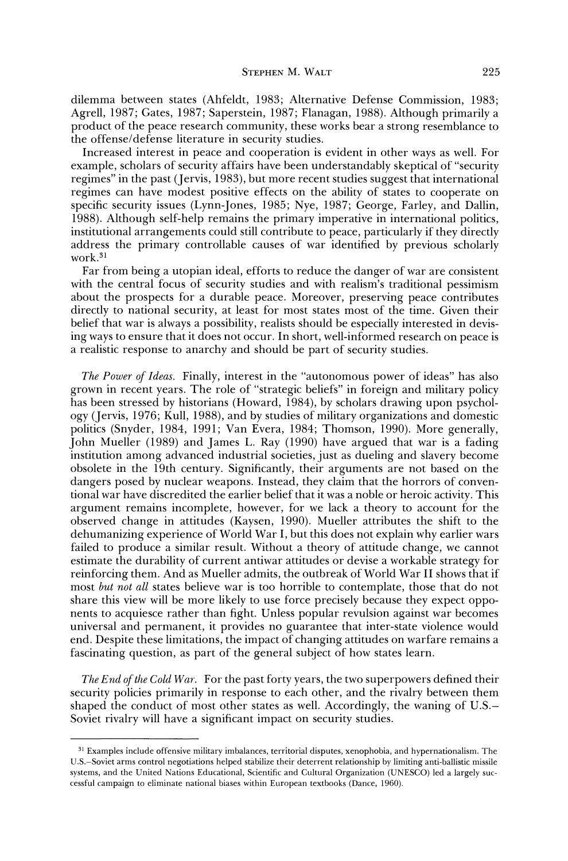dilemma between states (Ahfeldt, 1983; Alternative Defense Commission, 1983; Agrell, 1987; Gates, 1987; Saperstein, 1987; Flanagan, 1988). Although primarily a product of the peace research community, these works bear a strong resemblance to the offense/defense literature in security studies.

Increased interest in peace and cooperation is evident in other ways as well. For example, scholars of security affairs have been understandably skeptical of "security" regimes" in the past (Jervis, 1983), but more recent studies suggest that international regimes can have modest positive effects on the ability of states to cooperate on specific security issues (Lynn-Jones, 1985; Nye, 1987; George, Farley, and Dallin, 1988). Although self-help remains the primary imperative in international politics, institutional arrangements could still contribute to peace, particularly if they directly address the primary controllable causes of war identified by previous scholarly work.<sup>31</sup>

Far from being a utopian ideal, efforts to reduce the danger of war are consistent with the central focus of security studies and with realism's traditional pessimism about the prospects for a durable peace. Moreover, preserving peace contributes directly to national security, at least for most states most of the time. Given their belief that war is always a possibility, realists should be especially interested in devising ways to ensure that it does not occur. In short, well-informed research on peace is a realistic response to anarchy and should be part of security studies.

*The Power of Ideas.* Finally, interest in the "autonomous power of ideas" has also grown in recent years. The role of "strategic beliefs" in foreign and military policy has been stressed by historians (Howard, 1984), by scholars drawing upon psychology (Jervis, 1976; Kull, 1988), and by studies of military organizations and domestic politics (Snyder, 1984, 1991; Van Evera, 1984; Thomson, 1990). More generally, John Mueller (1989) and James L. Ray (1990) have argued that war is a fading institution among advanced industrial societies, just as dueling and slavery become obsolete in the 19th century. Significantly, their arguments are not based on the dangers posed by nuclear weapons. Instead, they claim that the horrors of conventional war have discredited the earlier belief that it was a noble or heroic activity. This argument remains incomplete, however, for we lack a theory to account for the observed change in attitudes (Kaysen, 1990). Mueller attributes the shift to the dehumanizing experience of World War I, but this does not explain why earlier wars failed to produce a similar result. Without a theory of attitude change, we cannot estimate the durability of current antiwar attitudes or devise a workable strategy for reinforcing them. And as Mueller admits, the outbreak of World War II shows that if most but not all states believe war is too horrible to contemplate, those that do not share this view will be more likely to use force precisely because they expect opponents to acquiesce rather than fight. Unless popular revulsion against war becomes universal and permanent, it provides no guarantee that inter-state violence would end. Despite these limitations, the impact of changing attitudes on warfare remains a fascinating question, as part of the general subject of how states learn.

The End of the Cold War. For the past forty years, the two superpowers defined their security policies primarily in response to each other, and the rivalry between them shaped the conduct of most other states as well. Accordingly, the waning of U.S.-Soviet rivalry will have a significant impact on security studies.

<sup>&</sup>lt;sup>31</sup> Examples include offensive military imbalances, territorial disputes, xenophobia, and hypernationalism. The U.S.-Soviet arms control negotiations helped stabilize their deterrent relationship by limiting anti-ballistic missile systems, and the United Nations Educational, Scientific and Cultural Organization (UNESCO) led a largely successful campaign to eliminate national biases within European textbooks (Dance, 1960).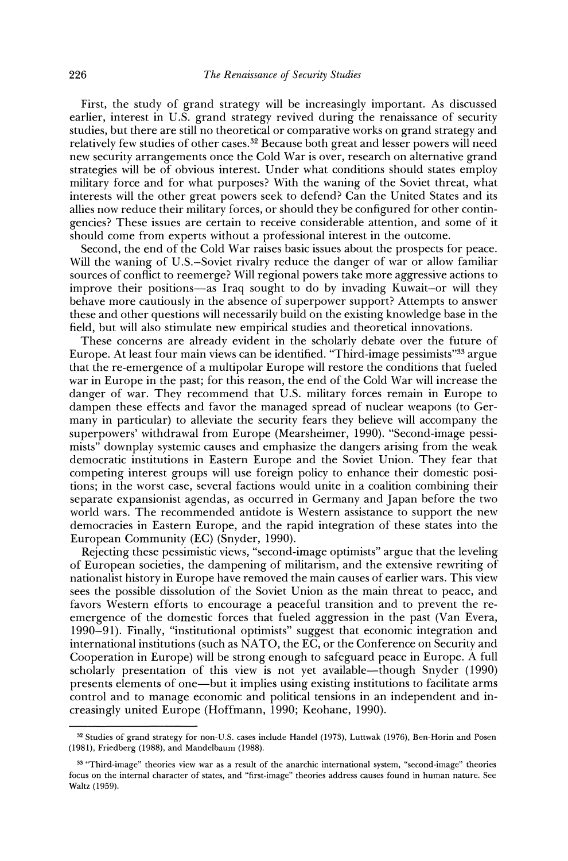First, the study of grand strategy will be increasingly important. As discussed earlier, interest in U.S. grand strategy revived during the renaissance of security studies, but there are still no theoretical or comparative works on grand strategy and relatively few studies of other cases.<sup>32</sup> Because both great and lesser powers will need new security arrangements once the Cold War is over, research on alternative grand strategies will be of obvious interest. Under what conditions should states employ military force and for what purposes? With the waning of the Soviet threat, what interests will the other great powers seek to defend? Can the United States and its allies now reduce their military forces, or should they be configured for other contingencies? These issues are certain to receive considerable attention, and some of it should come from experts without a professional interest in the outcome.

Second, the end of the Cold War raises basic issues about the prospects for peace. Will the waning of U.S.–Soviet rivalry reduce the danger of war or allow familiar sources of conflict to reemerge? Will regional powers take more aggressive actions to improve their positions—as Iraq sought to do by invading Kuwait–or will they behave more cautiously in the absence of superpower support? Attempts to answer these and other questions will necessarily build on the existing knowledge base in the field, but will also stimulate new empirical studies and theoretical innovations.

These concerns are already evident in the scholarly debate over the future of Europe. At least four main views can be identified. "Third-image pessimists"<sup>33</sup> argue that the re-emergence of a multipolar Europe will restore the conditions that fueled war in Europe in the past; for this reason, the end of the Cold War will increase the danger of war. They recommend that U.S. military forces remain in Europe to dampen these effects and favor the managed spread of nuclear weapons (to Germany in particular) to alleviate the security fears they believe will accompany the superpowers' withdrawal from Europe (Mearsheimer, 1990). "Second-image pessimists" downplay systemic causes and emphasize the dangers arising from the weak democratic institutions in Eastern Europe and the Soviet Union. They fear that competing interest groups will use foreign policy to enhance their domestic positions; in the worst case, several factions would unite in a coalition combining their separate expansionist agendas, as occurred in Germany and Japan before the two world wars. The recommended antidote is Western assistance to support the new democracies in Eastern Europe, and the rapid integration of these states into the European Community (EC) (Snyder, 1990).

Rejecting these pessimistic views, "second-image optimists" argue that the leveling of European societies, the dampening of militarism, and the extensive rewriting of nationalist history in Europe have removed the main causes of earlier wars. This view sees the possible dissolution of the Soviet Union as the main threat to peace, and favors Western efforts to encourage a peaceful transition and to prevent the reemergence of the domestic forces that fueled aggression in the past (Van Evera, 1990-91). Finally, "institutional optimists" suggest that economic integration and international institutions (such as NATO, the EC, or the Conference on Security and Cooperation in Europe) will be strong enough to safeguard peace in Europe. A full scholarly presentation of this view is not yet available—though Snyder (1990) presents elements of one—but it implies using existing institutions to facilitate arms control and to manage economic and political tensions in an independent and increasingly united Europe (Hoffmann, 1990; Keohane, 1990).

<sup>&</sup>lt;sup>32</sup> Studies of grand strategy for non-U.S. cases include Handel (1973), Luttwak (1976), Ben-Horin and Posen (1981), Friedberg (1988), and Mandelbaum (1988).

<sup>33 &</sup>quot;Third-image" theories view war as a result of the anarchic international system, "second-image" theories focus on the internal character of states, and "first-image" theories address causes found in human nature. See Waltz (1959).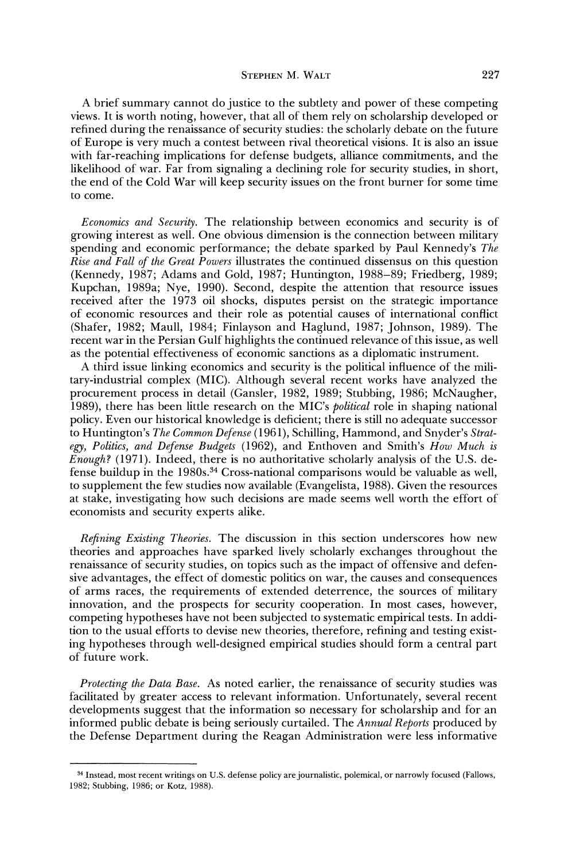A brief summary cannot do justice to the subtlety and power of these competing views. It is worth noting, however, that all of them rely on scholarship developed or refined during the renaissance of security studies: the scholarly debate on the future of Europe is very much a contest between rival theoretical visions. It is also an issue with far-reaching implications for defense budgets, alliance commitments, and the likelihood of war. Far from signaling a declining role for security studies, in short, the end of the Cold War will keep security issues on the front burner for some time to come.

Economics and Security. The relationship between economics and security is of growing interest as well. One obvious dimension is the connection between military spending and economic performance; the debate sparked by Paul Kennedy's The *Rise and Fall of the Great Powers* illustrates the continued dissensus on this question (Kennedy, 1987; Adams and Gold, 1987; Huntington, 1988–89; Friedberg, 1989; Kupchan, 1989a; Nye, 1990). Second, despite the attention that resource issues received after the 1973 oil shocks, disputes persist on the strategic importance of economic resources and their role as potential causes of international conflict (Shafer, 1982; Maull, 1984; Finlayson and Haglund, 1987; Johnson, 1989). The recent war in the Persian Gulf highlights the continued relevance of this issue, as well as the potential effectiveness of economic sanctions as a diplomatic instrument.

A third issue linking economics and security is the political influence of the military-industrial complex (MIC). Although several recent works have analyzed the procurement process in detail (Gansler, 1982, 1989; Stubbing, 1986; McNaugher, 1989), there has been little research on the MIC's *political* role in shaping national policy. Even our historical knowledge is deficient; there is still no adequate successor to Huntington's The Common Defense (1961), Schilling, Hammond, and Snyder's Strategy, Politics, and Defense Budgets (1962), and Enthoven and Smith's How Much is *Enough*? (1971). Indeed, there is no authoritative scholarly analysis of the U.S. defense buildup in the 1980s.<sup>34</sup> Cross-national comparisons would be valuable as well, to supplement the few studies now available (Evangelista, 1988). Given the resources at stake, investigating how such decisions are made seems well worth the effort of economists and security experts alike.

Refining Existing Theories. The discussion in this section underscores how new theories and approaches have sparked lively scholarly exchanges throughout the renaissance of security studies, on topics such as the impact of offensive and defensive advantages, the effect of domestic politics on war, the causes and consequences of arms races, the requirements of extended deterrence, the sources of military innovation, and the prospects for security cooperation. In most cases, however, competing hypotheses have not been subjected to systematic empirical tests. In addition to the usual efforts to devise new theories, therefore, refining and testing existing hypotheses through well-designed empirical studies should form a central part of future work.

Protecting the Data Base. As noted earlier, the renaissance of security studies was facilitated by greater access to relevant information. Unfortunately, several recent developments suggest that the information so necessary for scholarship and for an informed public debate is being seriously curtailed. The Annual Reports produced by the Defense Department during the Reagan Administration were less informative

<sup>&</sup>lt;sup>34</sup> Instead, most recent writings on U.S. defense policy are journalistic, polemical, or narrowly focused (Fallows, 1982; Stubbing, 1986; or Kotz, 1988).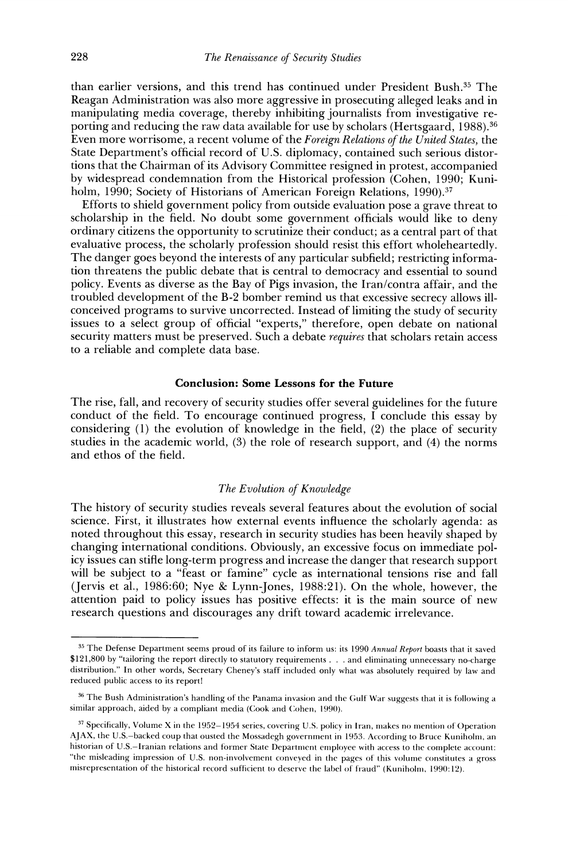than earlier versions, and this trend has continued under President Bush.<sup>35</sup> The Reagan Administration was also more aggressive in prosecuting alleged leaks and in manipulating media coverage, thereby inhibiting journalists from investigative reporting and reducing the raw data available for use by scholars (Hertsgaard, 1988).<sup>36</sup> Even more worrisome, a recent volume of the Foreign Relations of the United States, the State Department's official record of U.S. diplomacy, contained such serious distortions that the Chairman of its Advisory Committee resigned in protest, accompanied by widespread condemnation from the Historical profession (Cohen, 1990; Kuniholm, 1990; Society of Historians of American Foreign Relations, 1990).<sup>37</sup>

Efforts to shield government policy from outside evaluation pose a grave threat to scholarship in the field. No doubt some government officials would like to deny ordinary citizens the opportunity to scrutinize their conduct; as a central part of that evaluative process, the scholarly profession should resist this effort wholeheartedly. The danger goes beyond the interests of any particular subfield; restricting information threatens the public debate that is central to democracy and essential to sound policy. Events as diverse as the Bay of Pigs invasion, the Iran/contra affair, and the troubled development of the B-2 bomber remind us that excessive secrecy allows illconceived programs to survive uncorrected. Instead of limiting the study of security issues to a select group of official "experts," therefore, open debate on national security matters must be preserved. Such a debate requires that scholars retain access to a reliable and complete data base.

## **Conclusion: Some Lessons for the Future**

The rise, fall, and recovery of security studies offer several guidelines for the future conduct of the field. To encourage continued progress, I conclude this essay by considering (1) the evolution of knowledge in the field, (2) the place of security studies in the academic world, (3) the role of research support, and (4) the norms and ethos of the field.

## The Evolution of Knowledge

The history of security studies reveals several features about the evolution of social science. First, it illustrates how external events influence the scholarly agenda: as noted throughout this essay, research in security studies has been heavily shaped by changing international conditions. Obviously, an excessive focus on immediate policy issues can stifle long-term progress and increase the danger that research support will be subject to a "feast or famine" cycle as international tensions rise and fall (Jervis et al., 1986:60; Nye & Lynn-Jones, 1988:21). On the whole, however, the attention paid to policy issues has positive effects: it is the main source of new research questions and discourages any drift toward academic irrelevance.

<sup>&</sup>lt;sup>35</sup> The Defense Department seems proud of its failure to inform us: its 1990 Annual Report boasts that it saved \$121,800 by "tailoring the report directly to statutory requirements . . . and eliminating unnecessary no-charge distribution." In other words, Secretary Cheney's staff included only what was absolutely required by law and reduced public access to its report!

<sup>&</sup>lt;sup>36</sup> The Bush Administration's handling of the Panama invasion and the Gulf War suggests that it is following a similar approach, aided by a compliant media (Cook and Cohen, 1990).

<sup>&</sup>lt;sup>37</sup> Specifically, Volume X in the 1952-1954 series, covering U.S. policy in Iran, makes no mention of Operation AJAX, the U.S.-backed coup that ousted the Mossadegh government in 1953. According to Bruce Kuniholm, an historian of U.S.-Iranian relations and former State Department employee with access to the complete account: "the misleading impression of U.S. non-involvement conveyed in the pages of this volume constitutes a gross misrepresentation of the historical record sufficient to deserve the label of fraud" (Kuniholm, 1990:12).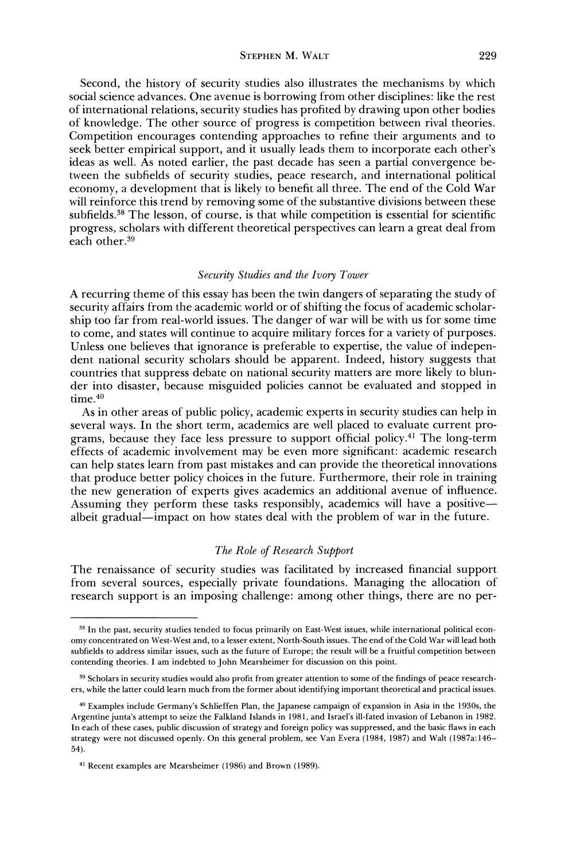#### STEPHEN M. WALT

Second, the history of security studies also illustrates the mechanisms by which social science advances. One avenue is borrowing from other disciplines: like the rest of international relations, security studies has profited by drawing upon other bodies of knowledge. The other source of progress is competition between rival theories. Competition encourages contending approaches to refine their arguments and to seek better empirical support, and it usually leads them to incorporate each other's ideas as well. As noted earlier, the past decade has seen a partial convergence between the subfields of security studies, peace research, and international political economy, a development that is likely to benefit all three. The end of the Cold War will reinforce this trend by removing some of the substantive divisions between these subfields.<sup>38</sup> The lesson, of course, is that while competition is essential for scientific progress, scholars with different theoretical perspectives can learn a great deal from each other.<sup>39</sup>

### Security Studies and the Ivory Tower

A recurring theme of this essay has been the twin dangers of separating the study of security affairs from the academic world or of shifting the focus of academic scholarship too far from real-world issues. The danger of war will be with us for some time to come, and states will continue to acquire military forces for a variety of purposes. Unless one believes that ignorance is preferable to expertise, the value of independent national security scholars should be apparent. Indeed, history suggests that countries that suppress debate on national security matters are more likely to blunder into disaster, because misguided policies cannot be evaluated and stopped in time. $40$ 

As in other areas of public policy, academic experts in security studies can help in several ways. In the short term, academics are well placed to evaluate current programs, because they face less pressure to support official policy.<sup>41</sup> The long-term effects of academic involvement may be even more significant: academic research can help states learn from past mistakes and can provide the theoretical innovations that produce better policy choices in the future. Furthermore, their role in training the new generation of experts gives academics an additional avenue of influence. Assuming they perform these tasks responsibly, academics will have a positivealbeit gradual—impact on how states deal with the problem of war in the future.

#### The Role of Research Support

The renaissance of security studies was facilitated by increased financial support from several sources, especially private foundations. Managing the allocation of research support is an imposing challenge: among other things, there are no per-

<sup>&</sup>lt;sup>38</sup> In the past, security studies tended to focus primarily on East-West issues, while international political economy concentrated on West-West and, to a lesser extent, North-South issues. The end of the Cold War will lead both subfields to address similar issues, such as the future of Europe; the result will be a fruitful competition between contending theories. I am indebted to John Mearsheimer for discussion on this point.

<sup>&</sup>lt;sup>39</sup> Scholars in security studies would also profit from greater attention to some of the findings of peace researchers, while the latter could learn much from the former about identifying important theoretical and practical issues.

<sup>&</sup>lt;sup>40</sup> Examples include Germany's Schlieffen Plan, the Japanese campaign of expansion in Asia in the 1930s, the Argentine junta's attempt to seize the Falkland Islands in 1981, and Israel's ill-fated invasion of Lebanon in 1982. In each of these cases, public discussion of strategy and foreign policy was suppressed, and the basic flaws in each strategy were not discussed openly. On this general problem, see Van Evera (1984, 1987) and Walt (1987a:146-54).

<sup>&</sup>lt;sup>41</sup> Recent examples are Mearsheimer (1986) and Brown (1989).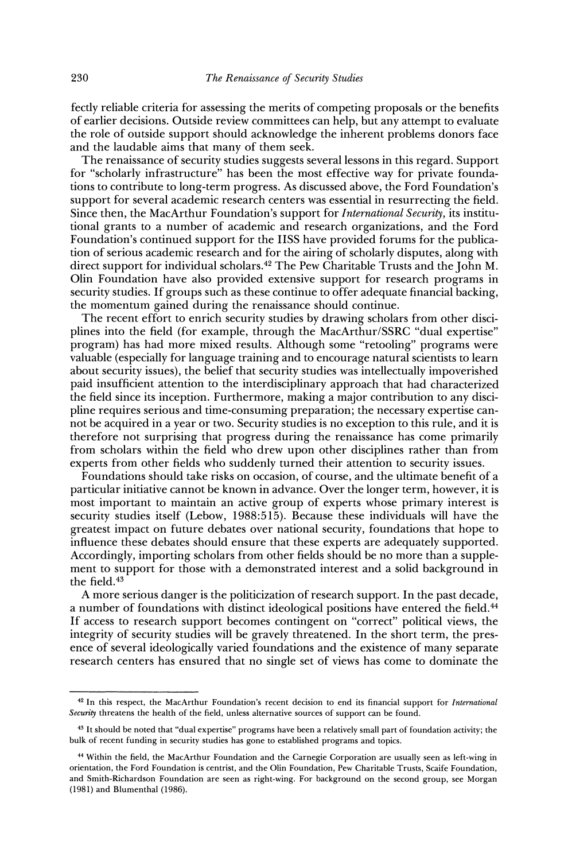fectly reliable criteria for assessing the merits of competing proposals or the benefits of earlier decisions. Outside review committees can help, but any attempt to evaluate the role of outside support should acknowledge the inherent problems donors face and the laudable aims that many of them seek.

The renaissance of security studies suggests several lessons in this regard. Support for "scholarly infrastructure" has been the most effective way for private foundations to contribute to long-term progress. As discussed above, the Ford Foundation's support for several academic research centers was essential in resurrecting the field. Since then, the MacArthur Foundation's support for *International Security*, its institutional grants to a number of academic and research organizations, and the Ford Foundation's continued support for the IISS have provided forums for the publication of serious academic research and for the airing of scholarly disputes, along with direct support for individual scholars.<sup>42</sup> The Pew Charitable Trusts and the John M. Olin Foundation have also provided extensive support for research programs in security studies. If groups such as these continue to offer adequate financial backing, the momentum gained during the renaissance should continue.

The recent effort to enrich security studies by drawing scholars from other disciplines into the field (for example, through the MacArthur/SSRC "dual expertise" program) has had more mixed results. Although some "retooling" programs were valuable (especially for language training and to encourage natural scientists to learn about security issues), the belief that security studies was intellectually impoverished paid insufficient attention to the interdisciplinary approach that had characterized the field since its inception. Furthermore, making a major contribution to any discipline requires serious and time-consuming preparation; the necessary expertise cannot be acquired in a year or two. Security studies is no exception to this rule, and it is therefore not surprising that progress during the renaissance has come primarily from scholars within the field who drew upon other disciplines rather than from experts from other fields who suddenly turned their attention to security issues.

Foundations should take risks on occasion, of course, and the ultimate benefit of a particular initiative cannot be known in advance. Over the longer term, however, it is most important to maintain an active group of experts whose primary interest is security studies itself (Lebow, 1988:515). Because these individuals will have the greatest impact on future debates over national security, foundations that hope to influence these debates should ensure that these experts are adequately supported. Accordingly, importing scholars from other fields should be no more than a supplement to support for those with a demonstrated interest and a solid background in the field.<sup>43</sup>

A more serious danger is the politicization of research support. In the past decade, a number of foundations with distinct ideological positions have entered the field.<sup>44</sup> If access to research support becomes contingent on "correct" political views, the integrity of security studies will be gravely threatened. In the short term, the presence of several ideologically varied foundations and the existence of many separate research centers has ensured that no single set of views has come to dominate the

<sup>&</sup>lt;sup>42</sup> In this respect, the MacArthur Foundation's recent decision to end its financial support for International Security threatens the health of the field, unless alternative sources of support can be found.

 $43$  It should be noted that "dual expertise" programs have been a relatively small part of foundation activity; the bulk of recent funding in security studies has gone to established programs and topics.

<sup>&</sup>lt;sup>44</sup> Within the field, the MacArthur Foundation and the Carnegie Corporation are usually seen as left-wing in orientation, the Ford Foundation is centrist, and the Olin Foundation, Pew Charitable Trusts, Scaife Foundation, and Smith-Richardson Foundation are seen as right-wing. For background on the second group, see Morgan (1981) and Blumenthal (1986).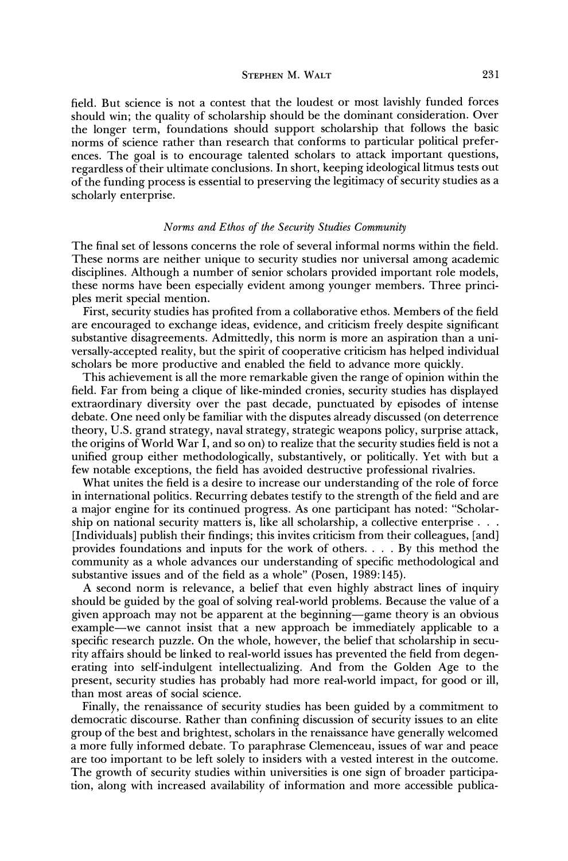field. But science is not a contest that the loudest or most lavishly funded forces should win; the quality of scholarship should be the dominant consideration. Over the longer term, foundations should support scholarship that follows the basic norms of science rather than research that conforms to particular political preferences. The goal is to encourage talented scholars to attack important questions, regardless of their ultimate conclusions. In short, keeping ideological litmus tests out of the funding process is essential to preserving the legitimacy of security studies as a scholarly enterprise.

#### Norms and Ethos of the Security Studies Community

The final set of lessons concerns the role of several informal norms within the field. These norms are neither unique to security studies nor universal among academic disciplines. Although a number of senior scholars provided important role models, these norms have been especially evident among younger members. Three principles merit special mention.

First, security studies has profited from a collaborative ethos. Members of the field are encouraged to exchange ideas, evidence, and criticism freely despite significant substantive disagreements. Admittedly, this norm is more an aspiration than a universally-accepted reality, but the spirit of cooperative criticism has helped individual scholars be more productive and enabled the field to advance more quickly.

This achievement is all the more remarkable given the range of opinion within the field. Far from being a clique of like-minded cronies, security studies has displayed extraordinary diversity over the past decade, punctuated by episodes of intense debate. One need only be familiar with the disputes already discussed (on deterrence theory, U.S. grand strategy, naval strategy, strategic weapons policy, surprise attack, the origins of World War I, and so on) to realize that the security studies field is not a unified group either methodologically, substantively, or politically. Yet with but a few notable exceptions, the field has avoided destructive professional rivalries.

What unites the field is a desire to increase our understanding of the role of force in international politics. Recurring debates testify to the strength of the field and are a major engine for its continued progress. As one participant has noted: "Scholarship on national security matters is, like all scholarship, a collective enterprise . . . [Individuals] publish their findings; this invites criticism from their colleagues, [and] provides foundations and inputs for the work of others... By this method the community as a whole advances our understanding of specific methodological and substantive issues and of the field as a whole" (Posen, 1989:145).

A second norm is relevance, a belief that even highly abstract lines of inquiry should be guided by the goal of solving real-world problems. Because the value of a given approach may not be apparent at the beginning—game theory is an obvious example—we cannot insist that a new approach be immediately applicable to a specific research puzzle. On the whole, however, the belief that scholarship in security affairs should be linked to real-world issues has prevented the field from degenerating into self-indulgent intellectualizing. And from the Golden Age to the present, security studies has probably had more real-world impact, for good or ill, than most areas of social science.

Finally, the renaissance of security studies has been guided by a commitment to democratic discourse. Rather than confining discussion of security issues to an elite group of the best and brightest, scholars in the renaissance have generally welcomed a more fully informed debate. To paraphrase Clemenceau, issues of war and peace are too important to be left solely to insiders with a vested interest in the outcome. The growth of security studies within universities is one sign of broader participation, along with increased availability of information and more accessible publica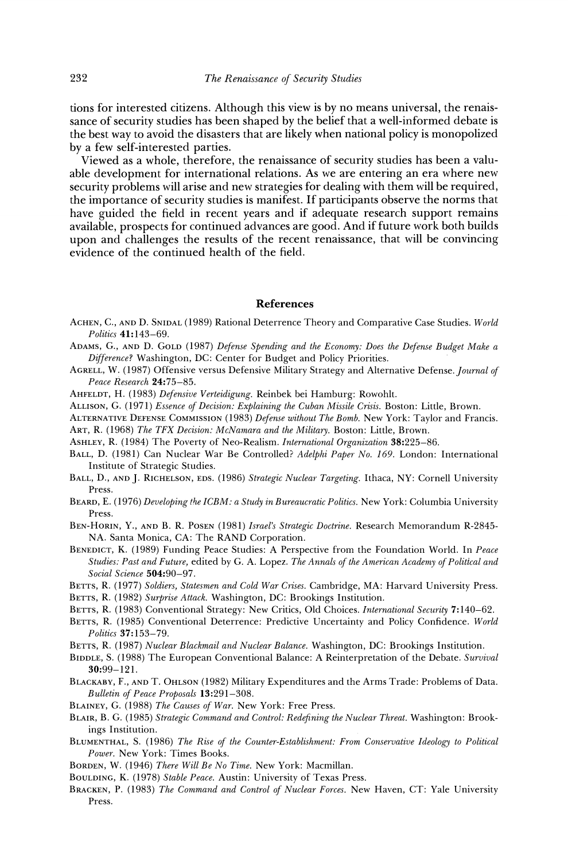tions for interested citizens. Although this view is by no means universal, the renaissance of security studies has been shaped by the belief that a well-informed debate is the best way to avoid the disasters that are likely when national policy is monopolized by a few self-interested parties.

Viewed as a whole, therefore, the renaissance of security studies has been a valuable development for international relations. As we are entering an era where new security problems will arise and new strategies for dealing with them will be required, the importance of security studies is manifest. If participants observe the norms that have guided the field in recent years and if adequate research support remains available, prospects for continued advances are good. And if future work both builds upon and challenges the results of the recent renaissance, that will be convincing evidence of the continued health of the field.

#### **References**

- ACHEN, C., AND D. SNIDAL (1989) Rational Deterrence Theory and Comparative Case Studies. World Politics 41:143-69.
- ADAMS, G., AND D. GOLD (1987) Defense Spending and the Economy: Does the Defense Budget Make a Difference? Washington, DC: Center for Budget and Policy Priorities.
- AGRELL, W. (1987) Offensive versus Defensive Military Strategy and Alternative Defense. Journal of Peace Research 24:75-85.
- AHFELDT, H. (1983) Defensive Verteidigung. Reinbek bei Hamburg: Rowohlt.
- ALLISON, G. (1971) Essence of Decision: Explaining the Cuban Missile Crisis. Boston: Little, Brown.
- ALTERNATIVE DEFENSE COMMISSION (1983) Defense without The Bomb. New York: Taylor and Francis.
- ART, R. (1968) The TFX Decision: McNamara and the Military. Boston: Little, Brown.
- ASHLEY, R. (1984) The Poverty of Neo-Realism. International Organization 38:225-86.
- BALL, D. (1981) Can Nuclear War Be Controlled? Adelphi Paper No. 169. London: International Institute of Strategic Studies.
- BALL, D., AND J. RICHELSON, EDS. (1986) Strategic Nuclear Targeting. Ithaca, NY: Cornell University Press.
- BEARD, E. (1976) Developing the ICBM: a Study in Bureaucratic Politics. New York: Columbia University Press.
- BEN-HORIN, Y., AND B. R. POSEN (1981) Israel's Strategic Doctrine. Research Memorandum R-2845-NA. Santa Monica, CA: The RAND Corporation.
- BENEDICT, K. (1989) Funding Peace Studies: A Perspective from the Foundation World. In Peace Studies: Past and Future, edited by G. A. Lopez. The Annals of the American Academy of Political and Social Science 504:90-97.
- BETTS, R. (1977) Soldiers, Statesmen and Cold War Crises. Cambridge, MA: Harvard University Press.
- BETTS, R. (1982) Surprise Attack. Washington, DC: Brookings Institution.
- BETTS, R. (1983) Conventional Strategy: New Critics, Old Choices. International Security 7:140-62.
- BETTS, R. (1985) Conventional Deterrence: Predictive Uncertainty and Policy Confidence. World Politics 37:153-79.
- BETTS, R. (1987) Nuclear Blackmail and Nuclear Balance. Washington, DC: Brookings Institution.
- BIDDLE, S. (1988) The European Conventional Balance: A Reinterpretation of the Debate. Survival  $30:99 - 121.$
- BLACKABY, F., AND T. OHLSON (1982) Military Expenditures and the Arms Trade: Problems of Data. Bulletin of Peace Proposals 13:291-308.
- BLAINEY, G. (1988) The Causes of War. New York: Free Press.
- BLAIR, B. G. (1985) Strategic Command and Control: Redefining the Nuclear Threat. Washington: Brookings Institution.
- BLUMENTHAL, S. (1986) The Rise of the Counter-Establishment: From Conservative Ideology to Political Power. New York: Times Books.
- BORDEN, W. (1946) There Will Be No Time. New York: Macmillan.
- BOULDING, K. (1978) Stable Peace. Austin: University of Texas Press.
- BRACKEN, P. (1983) The Command and Control of Nuclear Forces. New Haven, CT: Yale University Press.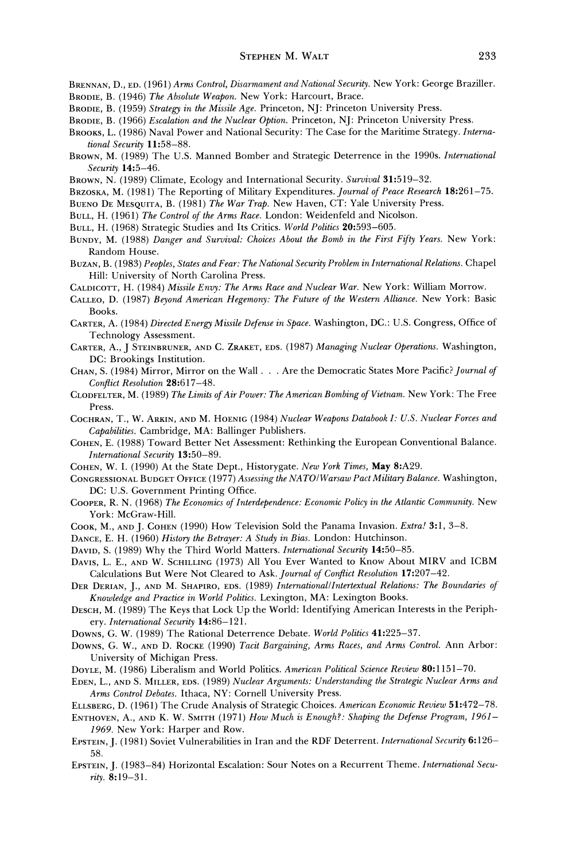- BRENNAN, D., ED. (1961) Arms Control, Disarmament and National Security. New York: George Braziller. BRODIE, B. (1946) The Absolute Weapon. New York: Harcourt, Brace.
- BRODIE, B. (1959) Strategy in the Missile Age. Princeton, NJ: Princeton University Press.
- BRODIE, B. (1966) Escalation and the Nuclear Option. Princeton, NJ: Princeton University Press.
- BROOKS, L. (1986) Naval Power and National Security: The Case for the Maritime Strategy. International Security 11:58-88.
- BROWN, M. (1989) The U.S. Manned Bomber and Strategic Deterrence in the 1990s. International Security 14:5-46.
- BROWN, N. (1989) Climate, Ecology and International Security. Survival 31:519-32.
- BRZOSKA, M. (1981) The Reporting of Military Expenditures. Journal of Peace Research 18:261-75.
- BUENO DE MESOUITA, B. (1981) The War Trap. New Haven, CT: Yale University Press.
- BULL, H. (1961) The Control of the Arms Race. London: Weidenfeld and Nicolson.
- BULL, H. (1968) Strategic Studies and Its Critics. World Politics 20:593-605.
- BUNDY, M. (1988) Danger and Survival: Choices About the Bomb in the First Fifty Years. New York: Random House.
- BUZAN, B. (1983) Peoples, States and Fear: The National Security Problem in International Relations. Chapel Hill: University of North Carolina Press.
- CALDICOTT, H. (1984) Missile Envy: The Arms Race and Nuclear War. New York: William Morrow.
- CALLEO, D. (1987) Beyond American Hegemony: The Future of the Western Alliance. New York: Basic Books.
- CARTER, A. (1984) Directed Energy Missile Defense in Space. Washington, DC.: U.S. Congress, Office of Technology Assessment.
- CARTER, A., J STEINBRUNER, AND C. ZRAKET, EDS. (1987) Managing Nuclear Operations. Washington, DC: Brookings Institution.
- CHAN, S. (1984) Mirror, Mirror on the Wall . . . Are the Democratic States More Pacific? Journal of Conflict Resolution 28:617-48.
- CLODFELTER, M. (1989) The Limits of Air Power: The American Bombing of Vietnam. New York: The Free Press.
- COCHRAN, T., W. ARKIN, AND M. HOENIG (1984) Nuclear Weapons Databook I: U.S. Nuclear Forces and Capabilities. Cambridge, MA: Ballinger Publishers.
- COHEN, E. (1988) Toward Better Net Assessment: Rethinking the European Conventional Balance. International Security 13:50-89.
- COHEN, W. I. (1990) At the State Dept., Historygate. New York Times, May 8:A29.
- CONGRESSIONAL BUDGET OFFICE (1977) Assessing the NATO/Warsaw Pact Military Balance. Washington, DC: U.S. Government Printing Office.
- COOPER, R. N. (1968) The Economics of Interdependence: Economic Policy in the Atlantic Community. New York: McGraw-Hill.
- COOK, M., AND J. COHEN (1990) How Television Sold the Panama Invasion. Extra! 3:1, 3-8.
- DANCE, E. H. (1960) History the Betrayer: A Study in Bias. London: Hutchinson.
- DAVID, S. (1989) Why the Third World Matters. International Security 14:50-85.
- DAVIS, L. E., AND W. SCHILLING (1973) All You Ever Wanted to Know About MIRV and ICBM Calculations But Were Not Cleared to Ask. Journal of Conflict Resolution 17:207-42.
- DER DERIAN, J., AND M. SHAPIRO, EDS. (1989) International/Intertextual Relations: The Boundaries of Knowledge and Practice in World Politics. Lexington, MA: Lexington Books.
- DESCH, M. (1989) The Keys that Lock Up the World: Identifying American Interests in the Periphery. International Security 14:86-121.
- Downs, G. W. (1989) The Rational Deterrence Debate. World Politics 41:225-37.
- DOWNS, G. W., AND D. ROCKE (1990) Tacit Bargaining, Arms Races, and Arms Control. Ann Arbor: University of Michigan Press.
- DOYLE, M. (1986) Liberalism and World Politics. American Political Science Review 80:1151-70.
- EDEN, L., AND S. MILLER, EDS. (1989) Nuclear Arguments: Understanding the Strategic Nuclear Arms and Arms Control Debates. Ithaca, NY: Cornell University Press.
- ELLSBERG, D. (1961) The Crude Analysis of Strategic Choices. American Economic Review 51:472-78.
- ENTHOVEN, A., AND K. W. SMITH (1971) How Much is Enough?: Shaping the Defense Program, 1961-1969. New York: Harper and Row.
- EPSTEIN, J. (1981) Soviet Vulnerabilities in Iran and the RDF Deterrent. International Security 6:126-58.
- EPSTEIN, J. (1983-84) Horizontal Escalation: Sour Notes on a Recurrent Theme. International Security.  $8:19-31$ .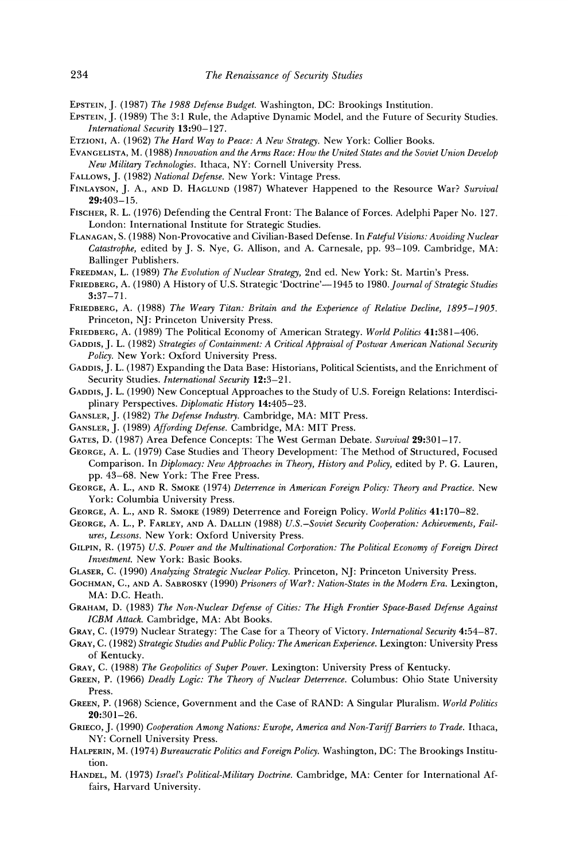- EPSTEIN, J. (1987) The 1988 Defense Budget. Washington, DC: Brookings Institution.
- EPSTEIN, J. (1989) The 3:1 Rule, the Adaptive Dynamic Model, and the Future of Security Studies. International Security 13:90-127.
- ETZIONI, A. (1962) The Hard Way to Peace: A New Strategy. New York: Collier Books.
- EVANGELISTA, M. (1988) Innovation and the Arms Race: How the United States and the Soviet Union Develop New Military Technologies. Ithaca, NY: Cornell University Press.
- FALLOWS, J. (1982) National Defense. New York: Vintage Press.
- FINLAYSON, J. A., AND D. HAGLUND (1987) Whatever Happened to the Resource War? Survival  $29:403 - 15.$
- FISCHER, R. L. (1976) Defending the Central Front: The Balance of Forces. Adelphi Paper No. 127. London: International Institute for Strategic Studies.
- FLANAGAN, S. (1988) Non-Provocative and Civilian-Based Defense. In Fateful Visions: Avoiding Nuclear Catastrophe, edited by J. S. Nye, G. Allison, and A. Carnesale, pp. 93-109. Cambridge, MA: Ballinger Publishers.
- FREEDMAN, L. (1989) The Evolution of Nuclear Strategy, 2nd ed. New York: St. Martin's Press.
- FRIEDBERG, A. (1980) A History of U.S. Strategic 'Doctrine'—1945 to 1980. Journal of Strategic Studies  $3:37 - 71.$
- FRIEDBERG, A. (1988) The Weary Titan: Britain and the Experience of Relative Decline, 1895–1905. Princeton, NJ: Princeton University Press.
- FRIEDBERG, A. (1989) The Political Economy of American Strategy. World Politics 41:381-406.
- GADDIS, J. L. (1982) Strategies of Containment: A Critical Appraisal of Postwar American National Security Policy. New York: Oxford University Press.
- GADDIS, J. L. (1987) Expanding the Data Base: Historians, Political Scientists, and the Enrichment of Security Studies. International Security 12:3-21.
- GADDIS, J. L. (1990) New Conceptual Approaches to the Study of U.S. Foreign Relations: Interdisciplinary Perspectives. Diplomatic History 14:405-23.
- GANSLER, J. (1982) The Defense Industry. Cambridge, MA: MIT Press.
- GANSLER, J. (1989) Affording Defense. Cambridge, MA: MIT Press.
- GATES, D. (1987) Area Defence Concepts: The West German Debate. Survival 29:301-17.
- GEORGE, A. L. (1979) Case Studies and Theory Development: The Method of Structured, Focused Comparison. In Diplomacy: New Approaches in Theory, History and Policy, edited by P. G. Lauren, pp. 43-68. New York: The Free Press.
- GEORGE, A. L., AND R. SMOKE (1974) Deterrence in American Foreign Policy: Theory and Practice. New York: Columbia University Press.
- GEORGE, A. L., AND R. SMOKE (1989) Deterrence and Foreign Policy. World Politics 41:170-82.
- GEORGE, A. L., P. FARLEY, AND A. DALLIN (1988) U.S.-Soviet Security Cooperation: Achievements, Failures, Lessons. New York: Oxford University Press.
- GILPIN, R. (1975) U.S. Power and the Multinational Corporation: The Political Economy of Foreign Direct Investment. New York: Basic Books.
- GLASER, C. (1990) Analyzing Strategic Nuclear Policy. Princeton, NJ: Princeton University Press.
- GOCHMAN, C., AND A. SABROSKY (1990) Prisoners of War?: Nation-States in the Modern Era. Lexington, MA: D.C. Heath.
- GRAHAM, D. (1983) The Non-Nuclear Defense of Cities: The High Frontier Space-Based Defense Against ICBM Attack. Cambridge, MA: Abt Books.
- GRAY, C. (1979) Nuclear Strategy: The Case for a Theory of Victory. International Security 4:54-87.
- GRAY, C. (1982) Strategic Studies and Public Policy: The American Experience. Lexington: University Press of Kentucky.
- GRAY, C. (1988) The Geopolitics of Super Power. Lexington: University Press of Kentucky.
- GREEN, P. (1966) Deadly Logic: The Theory of Nuclear Deterrence. Columbus: Ohio State University Press.
- GREEN, P. (1968) Science, Government and the Case of RAND: A Singular Pluralism. World Politics  $20:301-26$ .
- GRIECO, J. (1990) Cooperation Among Nations: Europe, America and Non-Tariff Barriers to Trade. Ithaca, NY: Cornell University Press.
- HALPERIN, M. (1974) Bureaucratic Politics and Foreign Policy. Washington, DC: The Brookings Institution.
- HANDEL, M. (1973) Israel's Political-Military Doctrine. Cambridge, MA: Center for International Affairs, Harvard University.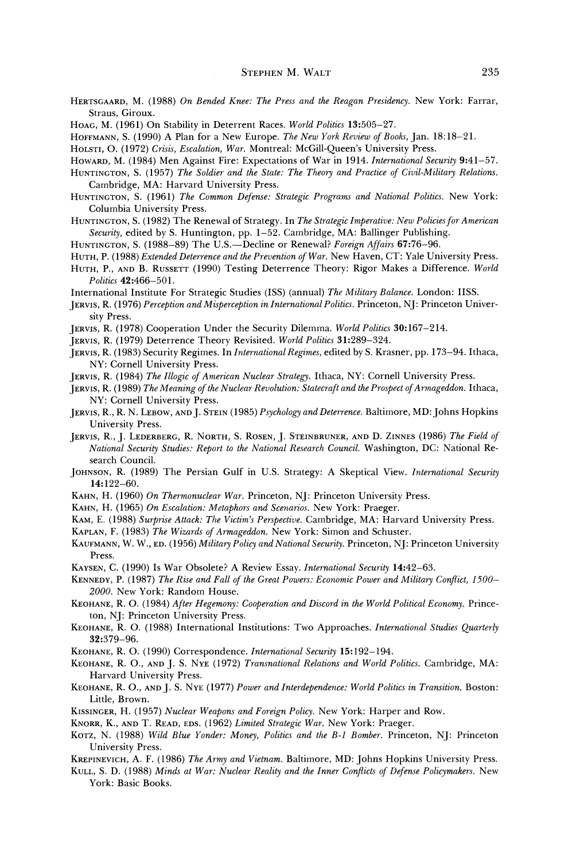- HERTSGAARD, M. (1988) On Bended Knee: The Press and the Reagan Presidency. New York: Farrar, Straus, Giroux.
- HOAG, M. (1961) On Stability in Deterrent Races. World Politics 13:505-27.
- HOFFMANN, S. (1990) A Plan for a New Europe. The New York Review of Books, Jan. 18:18-21.
- HOLSTI, O. (1972) Crisis, Escalation, War. Montreal: McGill-Queen's University Press.
- HOWARD, M. (1984) Men Against Fire: Expectations of War in 1914. International Security 9:41-57.
- HUNTINGTON, S. (1957) The Soldier and the State: The Theory and Practice of Civil-Military Relations. Cambridge, MA: Harvard University Press.
- HUNTINGTON, S. (1961) The Common Defense: Strategic Programs and National Politics. New York: Columbia University Press.
- HUNTINGTON, S. (1982) The Renewal of Strategy. In The Strategic Imperative: New Policies for American Security, edited by S. Huntington, pp. 1-52. Cambridge, MA: Ballinger Publishing.

HUNTINGTON, S. (1988-89) The U.S.-Decline or Renewal? Foreign Affairs 67:76-96.

- НUTH, P. (1988) Extended Deterrence and the Prevention of War. New Haven, CT: Yale University Press.
- HUTH, P., AND B. RUSSETT (1990) Testing Deterrence Theory: Rigor Makes a Difference. World Politics 42:466-501.
- International Institute For Strategic Studies (ISS) (annual) The Military Balance. London: IISS.
- [ERVIS, R. (1976) Perception and Misperception in International Politics. Princeton, NJ: Princeton University Press.
- JERVIS, R. (1978) Cooperation Under the Security Dilemma. World Politics 30:167-214.
- JERVIS, R. (1979) Deterrence Theory Revisited. World Politics 31:289-324.
- JERVIS, R. (1983) Security Regimes. In International Regimes, edited by S. Krasner, pp. 173-94. Ithaca, NY: Cornell University Press.
- JERVIS, R. (1984) The Illogic of American Nuclear Strategy. Ithaca, NY: Cornell University Press.
- JERVIS, R. (1989) The Meaning of the Nuclear Revolution: Statecraft and the Prospect of Armageddon. Ithaca, NY: Cornell University Press.
- JERVIS, R., R. N. LEBOW, AND J. STEIN (1985) Psychology and Deterrence. Baltimore, MD: Johns Hopkins University Press.
- JERVIS, R., J. LEDERBERG, R. NORTH, S. ROSEN, J. STEINBRUNER, AND D. ZINNES (1986) The Field of National Security Studies: Report to the National Research Council. Washington, DC: National Research Council.
- JOHNSON, R. (1989) The Persian Gulf in U.S. Strategy: A Skeptical View. International Security  $14:122-60.$
- КАНN, H. (1960) On Thermonuclear War. Princeton, NJ: Princeton University Press.
- KAHN, H. (1965) On Escalation: Metaphors and Scenarios. New York: Praeger.
- KAM, E. (1988) Surprise Attack: The Victim's Perspective. Cambridge, MA: Harvard University Press.
- KAPLAN, F. (1983) The Wizards of Armageddon. New York: Simon and Schuster.
- KAUFMANN, W. W., ED. (1956) Military Policy and National Security. Princeton, NJ: Princeton University Press.
- KAYSEN, C. (1990) Is War Obsolete? A Review Essay. International Security 14:42–63.
- KENNEDY, P. (1987) The Rise and Fall of the Great Powers: Economic Power and Military Conflict, 1500-2000. New York: Random House.
- KEOHANE, R. O. (1984) After Hegemony: Cooperation and Discord in the World Political Economy. Princeton, NJ: Princeton University Press.
- KEOHANE, R. O. (1988) International Institutions: Two Approaches. International Studies Quarterly  $32:379 - 96.$
- KEOHANE, R. O. (1990) Correspondence. International Security 15:192-194.
- KEOHANE, R. O., AND J. S. NYE (1972) Transnational Relations and World Politics. Cambridge, MA: Harvard University Press.
- KEOHANE, R. O., AND J. S. NYE (1977) Power and Interdependence: World Politics in Transition. Boston: Little, Brown.
- KISSINGER, H. (1957) Nuclear Weapons and Foreign Policy. New York: Harper and Row.
- KNORR, K., AND T. READ, EDS. (1962) Limited Strategic War. New York: Praeger.
- KOTZ, N. (1988) Wild Blue Yonder: Money, Politics and the B-1 Bomber. Princeton, NJ: Princeton University Press.
- KREPINEVICH, A. F. (1986) The Army and Vietnam. Baltimore, MD: Johns Hopkins University Press.
- KULL, S. D. (1988) Minds at War: Nuclear Reality and the Inner Conflicts of Defense Policymakers. New York: Basic Books.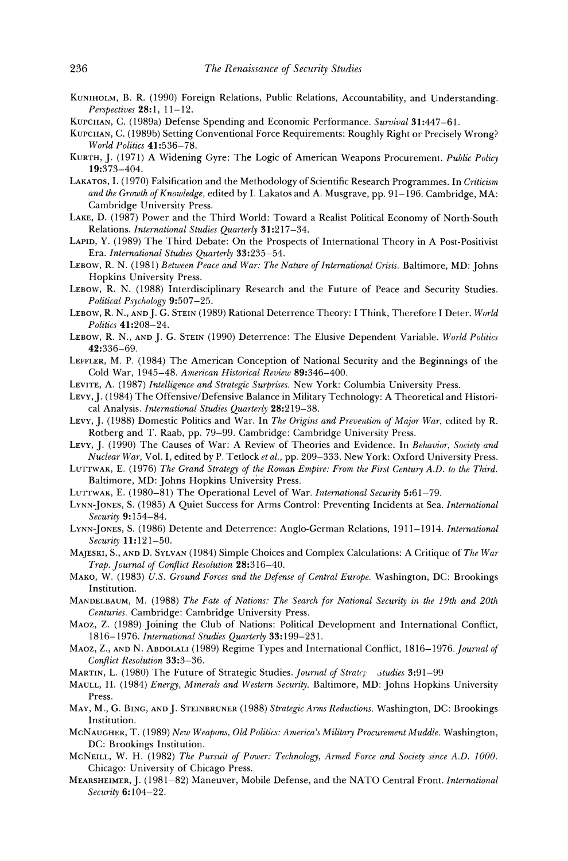- КUNIHOLM, B. R. (1990) Foreign Relations, Public Relations, Accountability, and Understanding. Perspectives  $28:1, 11-12.$
- Кирснам, С. (1989а) Defense Spending and Economic Performance. Survival 31:447-61.
- KUPCHAN, C. (1989b) Setting Conventional Force Requirements: Roughly Right or Precisely Wrong? World Politics 41:536-78.
- KURTH, J. (1971) A Widening Gyre: The Logic of American Weapons Procurement. Public Policy 19:373-404.
- LAKATOS, I. (1970) Falsification and the Methodology of Scientific Research Programmes. In Criticism and the Growth of Knowledge, edited by I. Lakatos and A. Musgrave, pp. 91-196. Cambridge, MA: Cambridge University Press.
- LAKE, D. (1987) Power and the Third World: Toward a Realist Political Economy of North-South Relations. International Studies Quarterly 31:217-34.
- LAPID, Y. (1989) The Third Debate: On the Prospects of International Theory in A Post-Positivist Era. International Studies Quarterly 33:235-54.
- LEBOW, R. N. (1981) Between Peace and War: The Nature of International Crisis. Baltimore, MD: Johns Hopkins University Press.
- LEBOW, R. N. (1988) Interdisciplinary Research and the Future of Peace and Security Studies. Political Psychology 9:507-25.
- LEBOW, R. N., AND J. G. STEIN (1989) Rational Deterrence Theory: I Think, Therefore I Deter. World Politics 41:208-24.
- LEBOW, R. N., AND J. G. STEIN (1990) Deterrence: The Elusive Dependent Variable. World Politics **42:**336-69.
- LEFFLER, M. P. (1984) The American Conception of National Security and the Beginnings of the Cold War, 1945–48. American Historical Review 89:346–400.
- LEVITE, A. (1987) Intelligence and Strategic Surprises. New York: Columbia University Press.
- LEVY, J. (1984) The Offensive/Defensive Balance in Military Technology: A Theoretical and Historical Analysis. International Studies Quarterly 28:219-38.
- LEVY, J. (1988) Domestic Politics and War. In The Origins and Prevention of Major War, edited by R. Rotberg and T. Raab, pp. 79-99. Cambridge: Cambridge University Press.
- LEVY, J. (1990) The Causes of War: A Review of Theories and Evidence. In Behavior, Society and Nuclear War, Vol. I, edited by P. Tetlock et al., pp. 209-333. New York: Oxford University Press.
- LUTTWAK, E. (1976) The Grand Strategy of the Roman Empire: From the First Century A.D. to the Third. Baltimore, MD: Johns Hopkins University Press.
- LUTTWAK, E. (1980–81) The Operational Level of War. International Security 5:61-79.
- LYNN-JONES, S. (1985) A Quiet Success for Arms Control: Preventing Incidents at Sea. International Security 9:154-84.
- LYNN-JONES, S. (1986) Detente and Deterrence: Anglo-German Relations, 1911-1914. International Security 11:121-50.
- MAJESKI, S., AND D. SYLVAN (1984) Simple Choices and Complex Calculations: A Critique of The War Trap. Journal of Conflict Resolution 28:316-40.
- МАКО, W. (1983) U.S. Ground Forces and the Defense of Central Europe. Washington, DC: Brookings Institution.
- MANDELBAUM, M. (1988) The Fate of Nations: The Search for National Security in the 19th and 20th Centuries. Cambridge: Cambridge University Press.
- MAOZ, Z. (1989) Joining the Club of Nations: Political Development and International Conflict, 1816-1976. International Studies Quarterly 33:199-231.
- MAOZ, Z., AND N. ABDOLALI (1989) Regime Types and International Conflict, 1816-1976. Journal of Conflict Resolution 33:3-36.
- MARTIN, L. (1980) The Future of Strategic Studies. Journal of Strateg studies 3:91-99
- MAULL, H. (1984) Energy, Minerals and Western Security. Baltimore, MD: Johns Hopkins University Press.
- MAY, M., G. BING, AND J. STEINBRUNER (1988) Strategic Arms Reductions. Washington, DC: Brookings Institution.
- MCNAUGHER, T. (1989) New Weapons, Old Politics: America's Military Procurement Muddle. Washington, DC: Brookings Institution.
- MCNEILL, W. H. (1982) The Pursuit of Power: Technology, Armed Force and Society since A.D. 1000. Chicago: University of Chicago Press.
- MEARSHEIMER, J. (1981-82) Maneuver, Mobile Defense, and the NATO Central Front. International Security 6:104-22.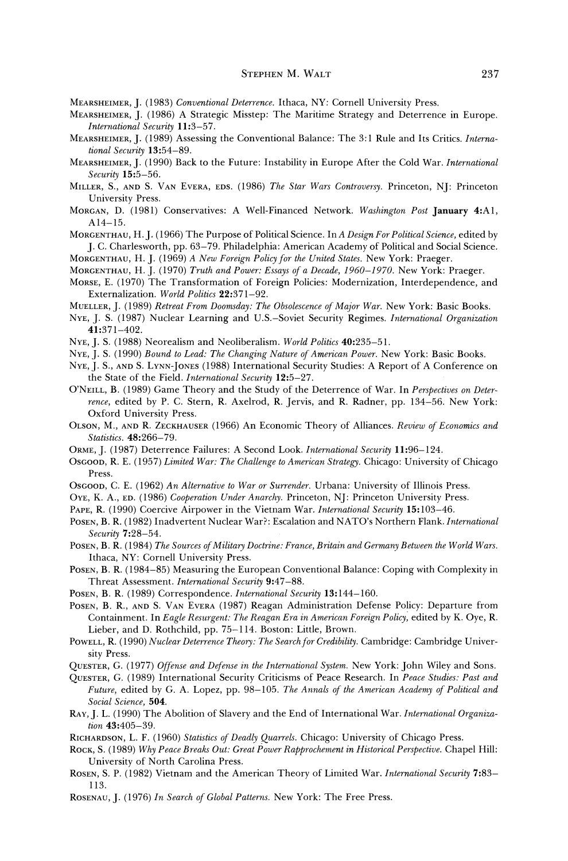MEARSHEIMER, J. (1983) Conventional Deterrence. Ithaca, NY: Cornell University Press.

- MEARSHEIMER, J. (1986) A Strategic Misstep: The Maritime Strategy and Deterrence in Europe. International Security 11:3-57.
- MEARSHEIMER, J. (1989) Assessing the Conventional Balance: The 3:1 Rule and Its Critics. International Security 13:54-89.
- MEARSHEIMER, J. (1990) Back to the Future: Instability in Europe After the Cold War. International Security 15:5-56.
- MILLER, S., AND S. VAN EVERA, EDS. (1986) The Star Wars Controversy. Princeton, NJ: Princeton University Press.
- MORGAN, D. (1981) Conservatives: A Well-Financed Network. Washington Post January 4:A1,  $A14-15.$
- MORGENTHAU, H. J. (1966) The Purpose of Political Science. In A Design For Political Science, edited by J. C. Charlesworth, pp. 63-79. Philadelphia: American Academy of Political and Social Science.

MORGENTHAU, H. J. (1969) A New Foreign Policy for the United States. New York: Praeger.

- MORGENTHAU, H. J. (1970) Truth and Power: Essays of a Decade, 1960–1970. New York: Praeger.
- MORSE, E. (1970) The Transformation of Foreign Policies: Modernization, Interdependence, and Externalization. World Politics 22:371-92.
- MUELLER, J. (1989) Retreat From Doomsday: The Obsolescence of Major War. New York: Basic Books.
- NYE, J. S. (1987) Nuclear Learning and U.S.-Soviet Security Regimes. International Organization 41:371-402.
- NYE, J. S. (1988) Neorealism and Neoliberalism. World Politics 40:235-51.
- NYE, J. S. (1990) Bound to Lead: The Changing Nature of American Power. New York: Basic Books.
- NYE, J. S., AND S. LYNN-JONES (1988) International Security Studies: A Report of A Conference on the State of the Field. International Security 12:5-27.
- O'NEILL, B. (1989) Game Theory and the Study of the Deterrence of War. In Perspectives on Deterrence, edited by P. C. Stern, R. Axelrod, R. Jervis, and R. Radner, pp. 134–56. New York: Oxford University Press.
- OLSON, M., AND R. ZECKHAUSER (1966) An Economic Theory of Alliances. Review of Economics and Statistics. 48:266-79.
- ORME, J. (1987) Deterrence Failures: A Second Look. International Security 11:96-124.
- Oscoon, R. E. (1957) Limited War: The Challenge to American Strategy. Chicago: University of Chicago Press.
- Oscoop, C. E. (1962) An Alternative to War or Surrender. Urbana: University of Illinois Press.
- OYE, K. A., ED. (1986) Cooperation Under Anarchy. Princeton, NJ: Princeton University Press.
- PAPE, R. (1990) Coercive Airpower in the Vietnam War. International Security 15:103-46.
- POSEN, B. R. (1982) Inadvertent Nuclear War?: Escalation and NATO's Northern Flank. International Security 7:28-54.
- POSEN, B. R. (1984) The Sources of Military Doctrine: France, Britain and Germany Between the World Wars. Ithaca, NY: Cornell University Press.
- POSEN, B. R. (1984-85) Measuring the European Conventional Balance: Coping with Complexity in Threat Assessment. International Security 9:47-88.
- POSEN, B. R. (1989) Correspondence. International Security 13:144-160.
- POSEN, B. R., AND S. VAN EVERA (1987) Reagan Administration Defense Policy: Departure from Containment. In Eagle Resurgent: The Reagan Era in American Foreign Policy, edited by K. Oye, R. Lieber, and D. Rothchild, pp. 75-114. Boston: Little, Brown.
- POWELL, R. (1990) Nuclear Deterrence Theory: The Search for Credibility. Cambridge: Cambridge University Press.
- QUESTER, G. (1977) Offense and Defense in the International System. New York: John Wiley and Sons.
- QUESTER, G. (1989) International Security Criticisms of Peace Research. In Peace Studies: Past and Future, edited by G. A. Lopez, pp. 98–105. The Annals of the American Academy of Political and Social Science, 504.
- RAY, J. L. (1990) The Abolition of Slavery and the End of International War. International Organization 43:405-39.
- RICHARDSON, L. F. (1960) Statistics of Deadly Quarrels. Chicago: University of Chicago Press.
- ROCK, S. (1989) Why Peace Breaks Out: Great Power Rapprochement in Historical Perspective. Chapel Hill: University of North Carolina Press.
- ROSEN, S. P. (1982) Vietnam and the American Theory of Limited War. International Security 7:83-113.
- ROSENAU, J. (1976) In Search of Global Patterns. New York: The Free Press.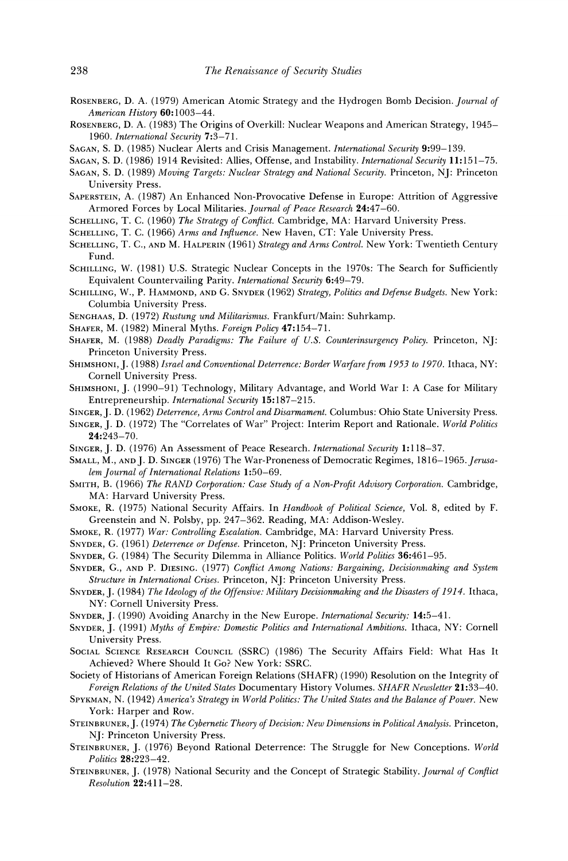- ROSENBERG, D. A. (1979) American Atomic Strategy and the Hydrogen Bomb Decision. Journal of American History 60:1003-44.
- ROSENBERG, D. A. (1983) The Origins of Overkill: Nuclear Weapons and American Strategy, 1945– 1960. International Security 7:3-71.
- SAGAN, S. D. (1985) Nuclear Alerts and Crisis Management. International Security 9:99-139.
- SAGAN, S. D. (1986) 1914 Revisited: Allies, Offense, and Instability. International Security 11:151-75.
- SAGAN, S. D. (1989) Moving Targets: Nuclear Strategy and National Security. Princeton, NJ: Princeton University Press.
- SAPERSTEIN, A. (1987) An Enhanced Non-Provocative Defense in Europe: Attrition of Aggressive Armored Forces by Local Militaries. Journal of Peace Research 24:47-60.
- SCHELLING, T. C. (1960) The Strategy of Conflict. Cambridge, MA: Harvard University Press.
- SCHELLING, T. C. (1966) Arms and Influence. New Haven, CT: Yale University Press.
- SCHELLING, T. C., AND M. HALPERIN (1961) Strategy and Arms Control. New York: Twentieth Century Fund.
- SCHILLING, W. (1981) U.S. Strategic Nuclear Concepts in the 1970s: The Search for Sufficiently Equivalent Countervailing Parity. International Security 6:49-79.
- SCHILLING, W., P. HAMMOND, AND G. SNYDER (1962) Strategy, Politics and Defense Budgets. New York: Columbia University Press.
- SENGHAAS, D. (1972) Rustung und Militarismus. Frankfurt/Main: Suhrkamp.
- SHAFER, M. (1982) Mineral Myths. Foreign Policy 47:154-71.
- SHAFER, M. (1988) Deadly Paradigms: The Failure of U.S. Counterinsurgency Policy. Princeton, NJ: Princeton University Press.
- SHIMSHONI, J. (1988) Israel and Conventional Deterrence: Border Warfare from 1953 to 1970. Ithaca, NY: Cornell University Press.
- SHIMSHONI, J. (1990-91) Technology, Military Advantage, and World War I: A Case for Military Entrepreneurship. International Security 15:187-215.
- SINGER, J. D. (1962) Deterrence, Arms Control and Disarmament. Columbus: Ohio State University Press.
- SINGER, J. D. (1972) The "Correlates of War" Project: Interim Report and Rationale. World Politics  $24:243 - 70.$
- SINGER, J. D. (1976) An Assessment of Peace Research. International Security 1:118-37.
- SMALL, M., AND J. D. SINGER (1976) The War-Proneness of Democratic Regimes, 1816–1965. Jerusalem Journal of International Relations 1:50-69.
- SMITH, B. (1966) The RAND Corporation: Case Study of a Non-Profit Advisory Corporation. Cambridge, MA: Harvard University Press.
- SMOKE, R. (1975) National Security Affairs. In Handbook of Political Science, Vol. 8, edited by F. Greenstein and N. Polsby, pp. 247-362. Reading, MA: Addison-Wesley.
- SMOKE, R. (1977) War: Controlling Escalation. Cambridge, MA: Harvard University Press.
- SNYDER, G. (1961) Deterrence or Defense. Princeton, NJ: Princeton University Press.
- SNYDER, G. (1984) The Security Dilemma in Alliance Politics. World Politics 36:461-95.
- SNYDER, G., AND P. DIESING. (1977) Conflict Among Nations: Bargaining, Decisionmaking and System Structure in International Crises. Princeton, NJ: Princeton University Press.
- SNYDER, J. (1984) The Ideology of the Offensive: Military Decisionmaking and the Disasters of 1914. Ithaca, NY: Cornell University Press.
- SNYDER, J. (1990) Avoiding Anarchy in the New Europe. International Security: 14:5-41.
- SNYDER, J. (1991) Myths of Empire: Domestic Politics and International Ambitions. Ithaca, NY: Cornell University Press.
- SOCIAL SCIENCE RESEARCH COUNCIL (SSRC) (1986) The Security Affairs Field: What Has It Achieved? Where Should It Go? New York: SSRC.
- Society of Historians of American Foreign Relations (SHAFR) (1990) Resolution on the Integrity of Foreign Relations of the United States Documentary History Volumes. SHAFR Newsletter 21:33-40.
- SPYKMAN, N. (1942) America's Strategy in World Politics: The United States and the Balance of Power. New York: Harper and Row.
- STEINBRUNER, J. (1974) The Cybernetic Theory of Decision: New Dimensions in Political Analysis. Princeton, NJ: Princeton University Press.
- STEINBRUNER, J. (1976) Beyond Rational Deterrence: The Struggle for New Conceptions. World Politics 28:223-42.
- STEINBRUNER, J. (1978) National Security and the Concept of Strategic Stability. Journal of Conflict Resolution 22:411-28.